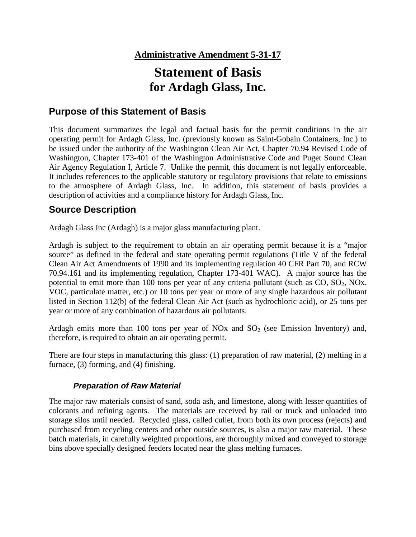# **Statement of Basis for Ardagh Glass, Inc.**

## **Purpose of this Statement of Basis**

This document summarizes the legal and factual basis for the permit conditions in the air operating permit for Ardagh Glass, Inc. (previously known as Saint-Gobain Containers, Inc.) to be issued under the authority of the Washington Clean Air Act, Chapter 70.94 Revised Code of Washington, Chapter 173-401 of the Washington Administrative Code and Puget Sound Clean Air Agency Regulation I, Article 7. Unlike the permit, this document is not legally enforceable. It includes references to the applicable statutory or regulatory provisions that relate to emissions to the atmosphere of Ardagh Glass, Inc. In addition, this statement of basis provides a description of activities and a compliance history for Ardagh Glass, Inc.

## **Source Description**

Ardagh Glass Inc (Ardagh) is a major glass manufacturing plant.

Ardagh is subject to the requirement to obtain an air operating permit because it is a "major source" as defined in the federal and state operating permit regulations (Title V of the federal Clean Air Act Amendments of 1990 and its implementing regulation 40 CFR Part 70, and RCW 70.94.161 and its implementing regulation, Chapter 173-401 WAC). A major source has the potential to emit more than 100 tons per year of any criteria pollutant (such as  $CO$ ,  $SO_2$ ,  $NOx$ , VOC, particulate matter, etc.) or 10 tons per year or more of any single hazardous air pollutant listed in Section 112(b) of the federal Clean Air Act (such as hydrochloric acid), or 25 tons per year or more of any combination of hazardous air pollutants.

Ardagh emits more than 100 tons per year of NOx and  $SO<sub>2</sub>$  (see Emission Inventory) and, therefore, is required to obtain an air operating permit.

There are four steps in manufacturing this glass: (1) preparation of raw material, (2) melting in a furnace, (3) forming, and (4) finishing.

## *Preparation of Raw Material*

The major raw materials consist of sand, soda ash, and limestone, along with lesser quantities of colorants and refining agents. The materials are received by rail or truck and unloaded into storage silos until needed. Recycled glass, called cullet, from both its own process (rejects) and purchased from recycling centers and other outside sources, is also a major raw material. These batch materials, in carefully weighted proportions, are thoroughly mixed and conveyed to storage bins above specially designed feeders located near the glass melting furnaces.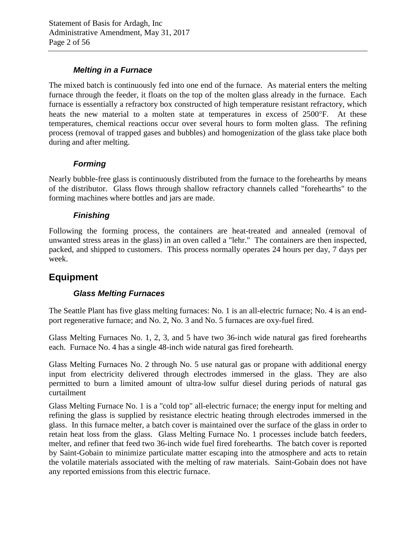## *Melting in a Furnace*

The mixed batch is continuously fed into one end of the furnace. As material enters the melting furnace through the feeder, it floats on the top of the molten glass already in the furnace. Each furnace is essentially a refractory box constructed of high temperature resistant refractory, which heats the new material to a molten state at temperatures in excess of 2500°F. At these temperatures, chemical reactions occur over several hours to form molten glass. The refining process (removal of trapped gases and bubbles) and homogenization of the glass take place both during and after melting.

## *Forming*

Nearly bubble-free glass is continuously distributed from the furnace to the forehearths by means of the distributor. Glass flows through shallow refractory channels called "forehearths" to the forming machines where bottles and jars are made.

## *Finishing*

Following the forming process, the containers are heat-treated and annealed (removal of unwanted stress areas in the glass) in an oven called a "lehr." The containers are then inspected, packed, and shipped to customers. This process normally operates 24 hours per day, 7 days per week.

## **Equipment**

## *Glass Melting Furnaces*

The Seattle Plant has five glass melting furnaces: No. 1 is an all-electric furnace; No. 4 is an endport regenerative furnace; and No. 2, No. 3 and No. 5 furnaces are oxy-fuel fired.

Glass Melting Furnaces No. 1, 2, 3, and 5 have two 36-inch wide natural gas fired forehearths each. Furnace No. 4 has a single 48-inch wide natural gas fired forehearth.

Glass Melting Furnaces No. 2 through No. 5 use natural gas or propane with additional energy input from electricity delivered through electrodes immersed in the glass. They are also permitted to burn a limited amount of ultra-low sulfur diesel during periods of natural gas curtailment

Glass Melting Furnace No. 1 is a "cold top" all-electric furnace; the energy input for melting and refining the glass is supplied by resistance electric heating through electrodes immersed in the glass. In this furnace melter, a batch cover is maintained over the surface of the glass in order to retain heat loss from the glass. Glass Melting Furnace No. 1 processes include batch feeders, melter, and refiner that feed two 36-inch wide fuel fired forehearths. The batch cover is reported by Saint-Gobain to minimize particulate matter escaping into the atmosphere and acts to retain the volatile materials associated with the melting of raw materials. Saint-Gobain does not have any reported emissions from this electric furnace.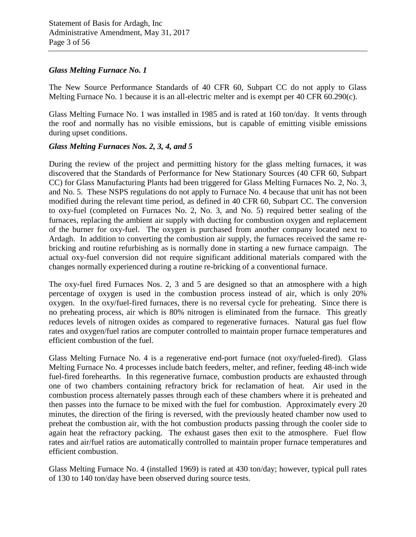#### *Glass Melting Furnace No. 1*

The New Source Performance Standards of 40 CFR 60, Subpart CC do not apply to Glass Melting Furnace No. 1 because it is an all-electric melter and is exempt per 40 CFR 60.290(c).

Glass Melting Furnace No. 1 was installed in 1985 and is rated at 160 ton/day. It vents through the roof and normally has no visible emissions, but is capable of emitting visible emissions during upset conditions.

#### *Glass Melting Furnaces Nos. 2, 3, 4, and 5*

During the review of the project and permitting history for the glass melting furnaces, it was discovered that the Standards of Performance for New Stationary Sources (40 CFR 60, Subpart CC) for Glass Manufacturing Plants had been triggered for Glass Melting Furnaces No. 2, No. 3, and No. 5. These NSPS regulations do not apply to Furnace No. 4 because that unit has not been modified during the relevant time period, as defined in 40 CFR 60, Subpart CC. The conversion to oxy-fuel (completed on Furnaces No. 2, No. 3, and No. 5) required better sealing of the furnaces, replacing the ambient air supply with ducting for combustion oxygen and replacement of the burner for oxy-fuel. The oxygen is purchased from another company located next to Ardagh. In addition to converting the combustion air supply, the furnaces received the same rebricking and routine refurbishing as is normally done in starting a new furnace campaign. The actual oxy-fuel conversion did not require significant additional materials compared with the changes normally experienced during a routine re-bricking of a conventional furnace.

The oxy-fuel fired Furnaces Nos. 2, 3 and 5 are designed so that an atmosphere with a high percentage of oxygen is used in the combustion process instead of air, which is only 20% oxygen. In the oxy/fuel-fired furnaces, there is no reversal cycle for preheating. Since there is no preheating process, air which is 80% nitrogen is eliminated from the furnace. This greatly reduces levels of nitrogen oxides as compared to regenerative furnaces. Natural gas fuel flow rates and oxygen/fuel ratios are computer controlled to maintain proper furnace temperatures and efficient combustion of the fuel.

Glass Melting Furnace No. 4 is a regenerative end-port furnace (not oxy/fueled-fired). Glass Melting Furnace No. 4 processes include batch feeders, melter, and refiner, feeding 48-inch wide fuel-fired forehearths. In this regenerative furnace, combustion products are exhausted through one of two chambers containing refractory brick for reclamation of heat. Air used in the combustion process alternately passes through each of these chambers where it is preheated and then passes into the furnace to be mixed with the fuel for combustion. Approximately every 20 minutes, the direction of the firing is reversed, with the previously heated chamber now used to preheat the combustion air, with the hot combustion products passing through the cooler side to again heat the refractory packing. The exhaust gases then exit to the atmosphere. Fuel flow rates and air/fuel ratios are automatically controlled to maintain proper furnace temperatures and efficient combustion.

Glass Melting Furnace No. 4 (installed 1969) is rated at 430 ton/day; however, typical pull rates of 130 to 140 ton/day have been observed during source tests.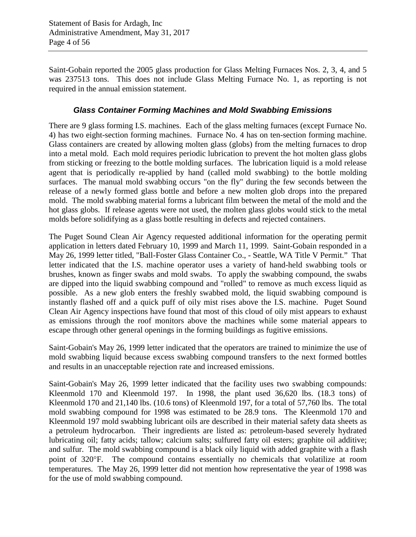Saint-Gobain reported the 2005 glass production for Glass Melting Furnaces Nos. 2, 3, 4, and 5 was 237513 tons. This does not include Glass Melting Furnace No. 1, as reporting is not required in the annual emission statement.

## *Glass Container Forming Machines and Mold Swabbing Emissions*

There are 9 glass forming I.S. machines. Each of the glass melting furnaces (except Furnace No. 4) has two eight-section forming machines. Furnace No. 4 has on ten-section forming machine. Glass containers are created by allowing molten glass (globs) from the melting furnaces to drop into a metal mold. Each mold requires periodic lubrication to prevent the hot molten glass globs from sticking or freezing to the bottle molding surfaces. The lubrication liquid is a mold release agent that is periodically re-applied by hand (called mold swabbing) to the bottle molding surfaces. The manual mold swabbing occurs "on the fly" during the few seconds between the release of a newly formed glass bottle and before a new molten glob drops into the prepared mold. The mold swabbing material forms a lubricant film between the metal of the mold and the hot glass globs. If release agents were not used, the molten glass globs would stick to the metal molds before solidifying as a glass bottle resulting in defects and rejected containers.

The Puget Sound Clean Air Agency requested additional information for the operating permit application in letters dated February 10, 1999 and March 11, 1999. Saint-Gobain responded in a May 26, 1999 letter titled, "Ball-Foster Glass Container Co., - Seattle, WA Title V Permit." That letter indicated that the I.S. machine operator uses a variety of hand-held swabbing tools or brushes, known as finger swabs and mold swabs. To apply the swabbing compound, the swabs are dipped into the liquid swabbing compound and "rolled" to remove as much excess liquid as possible. As a new glob enters the freshly swabbed mold, the liquid swabbing compound is instantly flashed off and a quick puff of oily mist rises above the I.S. machine. Puget Sound Clean Air Agency inspections have found that most of this cloud of oily mist appears to exhaust as emissions through the roof monitors above the machines while some material appears to escape through other general openings in the forming buildings as fugitive emissions.

Saint-Gobain's May 26, 1999 letter indicated that the operators are trained to minimize the use of mold swabbing liquid because excess swabbing compound transfers to the next formed bottles and results in an unacceptable rejection rate and increased emissions.

Saint-Gobain's May 26, 1999 letter indicated that the facility uses two swabbing compounds: Kleenmold 170 and Kleenmold 197. In 1998, the plant used 36,620 lbs. (18.3 tons) of Kleenmold 170 and 21,140 lbs. (10.6 tons) of Kleenmold 197, for a total of 57,760 lbs. The total mold swabbing compound for 1998 was estimated to be 28.9 tons. The Kleenmold 170 and Kleenmold 197 mold swabbing lubricant oils are described in their material safety data sheets as a petroleum hydrocarbon. Their ingredients are listed as: petroleum-based severely hydrated lubricating oil; fatty acids; tallow; calcium salts; sulfured fatty oil esters; graphite oil additive; and sulfur. The mold swabbing compound is a black oily liquid with added graphite with a flash point of 320°F. The compound contains essentially no chemicals that volatilize at room temperatures. The May 26, 1999 letter did not mention how representative the year of 1998 was for the use of mold swabbing compound.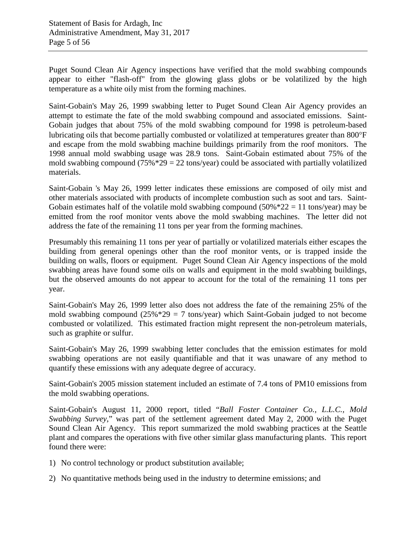Puget Sound Clean Air Agency inspections have verified that the mold swabbing compounds appear to either "flash-off" from the glowing glass globs or be volatilized by the high temperature as a white oily mist from the forming machines.

Saint-Gobain's May 26, 1999 swabbing letter to Puget Sound Clean Air Agency provides an attempt to estimate the fate of the mold swabbing compound and associated emissions. Saint-Gobain judges that about 75% of the mold swabbing compound for 1998 is petroleum-based lubricating oils that become partially combusted or volatilized at temperatures greater than 800°F and escape from the mold swabbing machine buildings primarily from the roof monitors. The 1998 annual mold swabbing usage was 28.9 tons. Saint-Gobain estimated about 75% of the mold swabbing compound  $(75\% * 29 = 22 \text{ tons/year})$  could be associated with partially volatilized materials.

Saint-Gobain 's May 26, 1999 letter indicates these emissions are composed of oily mist and other materials associated with products of incomplete combustion such as soot and tars. Saint-Gobain estimates half of the volatile mold swabbing compound  $(50\% * 22 = 11 \text{ tons/year})$  may be emitted from the roof monitor vents above the mold swabbing machines. The letter did not address the fate of the remaining 11 tons per year from the forming machines.

Presumably this remaining 11 tons per year of partially or volatilized materials either escapes the building from general openings other than the roof monitor vents, or is trapped inside the building on walls, floors or equipment. Puget Sound Clean Air Agency inspections of the mold swabbing areas have found some oils on walls and equipment in the mold swabbing buildings, but the observed amounts do not appear to account for the total of the remaining 11 tons per year.

Saint-Gobain's May 26, 1999 letter also does not address the fate of the remaining 25% of the mold swabbing compound  $(25\frac{1}{2} \times 29 = 7 \text{ tons/year})$  which Saint-Gobain judged to not become combusted or volatilized. This estimated fraction might represent the non-petroleum materials, such as graphite or sulfur.

Saint-Gobain's May 26, 1999 swabbing letter concludes that the emission estimates for mold swabbing operations are not easily quantifiable and that it was unaware of any method to quantify these emissions with any adequate degree of accuracy.

Saint-Gobain's 2005 mission statement included an estimate of 7.4 tons of PM10 emissions from the mold swabbing operations.

Saint-Gobain's August 11, 2000 report, titled "*Ball Foster Container Co., L.L.C., Mold Swabbing Survey*," was part of the settlement agreement dated May 2, 2000 with the Puget Sound Clean Air Agency. This report summarized the mold swabbing practices at the Seattle plant and compares the operations with five other similar glass manufacturing plants. This report found there were:

- 1) No control technology or product substitution available;
- 2) No quantitative methods being used in the industry to determine emissions; and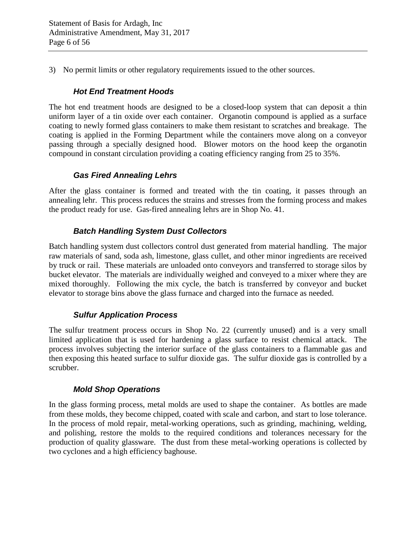3) No permit limits or other regulatory requirements issued to the other sources.

## *Hot End Treatment Hoods*

The hot end treatment hoods are designed to be a closed-loop system that can deposit a thin uniform layer of a tin oxide over each container. Organotin compound is applied as a surface coating to newly formed glass containers to make them resistant to scratches and breakage. The coating is applied in the Forming Department while the containers move along on a conveyor passing through a specially designed hood. Blower motors on the hood keep the organotin compound in constant circulation providing a coating efficiency ranging from 25 to 35%.

## *Gas Fired Annealing Lehrs*

After the glass container is formed and treated with the tin coating, it passes through an annealing lehr. This process reduces the strains and stresses from the forming process and makes the product ready for use. Gas-fired annealing lehrs are in Shop No. 41.

## *Batch Handling System Dust Collectors*

Batch handling system dust collectors control dust generated from material handling. The major raw materials of sand, soda ash, limestone, glass cullet, and other minor ingredients are received by truck or rail. These materials are unloaded onto conveyors and transferred to storage silos by bucket elevator. The materials are individually weighed and conveyed to a mixer where they are mixed thoroughly. Following the mix cycle, the batch is transferred by conveyor and bucket elevator to storage bins above the glass furnace and charged into the furnace as needed.

## *Sulfur Application Process*

The sulfur treatment process occurs in Shop No. 22 (currently unused) and is a very small limited application that is used for hardening a glass surface to resist chemical attack. The process involves subjecting the interior surface of the glass containers to a flammable gas and then exposing this heated surface to sulfur dioxide gas. The sulfur dioxide gas is controlled by a scrubber.

## *Mold Shop Operations*

In the glass forming process, metal molds are used to shape the container. As bottles are made from these molds, they become chipped, coated with scale and carbon, and start to lose tolerance. In the process of mold repair, metal-working operations, such as grinding, machining, welding, and polishing, restore the molds to the required conditions and tolerances necessary for the production of quality glassware. The dust from these metal-working operations is collected by two cyclones and a high efficiency baghouse.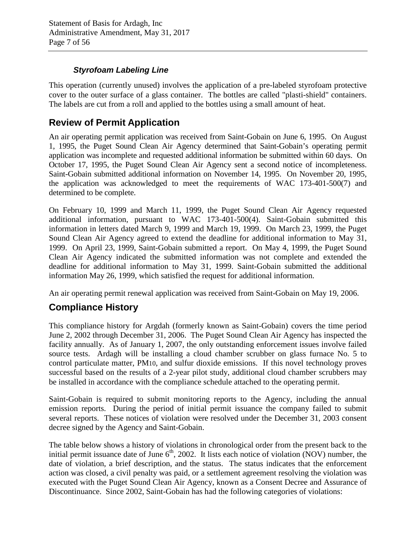## *Styrofoam Labeling Line*

This operation (currently unused) involves the application of a pre-labeled styrofoam protective cover to the outer surface of a glass container. The bottles are called "plasti-shield" containers. The labels are cut from a roll and applied to the bottles using a small amount of heat.

# **Review of Permit Application**

An air operating permit application was received from Saint-Gobain on June 6, 1995. On August 1, 1995, the Puget Sound Clean Air Agency determined that Saint-Gobain's operating permit application was incomplete and requested additional information be submitted within 60 days. On October 17, 1995, the Puget Sound Clean Air Agency sent a second notice of incompleteness. Saint-Gobain submitted additional information on November 14, 1995. On November 20, 1995, the application was acknowledged to meet the requirements of WAC 173-401-500(7) and determined to be complete.

On February 10, 1999 and March 11, 1999, the Puget Sound Clean Air Agency requested additional information, pursuant to WAC 173-401-500(4). Saint-Gobain submitted this information in letters dated March 9, 1999 and March 19, 1999. On March 23, 1999, the Puget Sound Clean Air Agency agreed to extend the deadline for additional information to May 31, 1999. On April 23, 1999, Saint-Gobain submitted a report. On May 4, 1999, the Puget Sound Clean Air Agency indicated the submitted information was not complete and extended the deadline for additional information to May 31, 1999. Saint-Gobain submitted the additional information May 26, 1999, which satisfied the request for additional information.

An air operating permit renewal application was received from Saint-Gobain on May 19, 2006.

# <span id="page-6-0"></span>**Compliance History**

This compliance history for Argdah (formerly known as Saint-Gobain) covers the time period June 2, 2002 through December 31, 2006. The Puget Sound Clean Air Agency has inspected the facility annually. As of January 1, 2007, the only outstanding enforcement issues involve failed source tests. Ardagh will be installing a cloud chamber scrubber on glass furnace No. 5 to control particulate matter, PM10, and sulfur dioxide emissions. If this novel technology proves successful based on the results of a 2-year pilot study, additional cloud chamber scrubbers may be installed in accordance with the compliance schedule attached to the operating permit.

Saint-Gobain is required to submit monitoring reports to the Agency, including the annual emission reports. During the period of initial permit issuance the company failed to submit several reports. These notices of violation were resolved under the December 31, 2003 consent decree signed by the Agency and Saint-Gobain.

The table below shows a history of violations in chronological order from the present back to the initial permit issuance date of June  $6<sup>th</sup>$ , 2002. It lists each notice of violation (NOV) number, the date of violation, a brief description, and the status. The status indicates that the enforcement action was closed, a civil penalty was paid, or a settlement agreement resolving the violation was executed with the Puget Sound Clean Air Agency, known as a Consent Decree and Assurance of Discontinuance. Since 2002, Saint-Gobain has had the following categories of violations: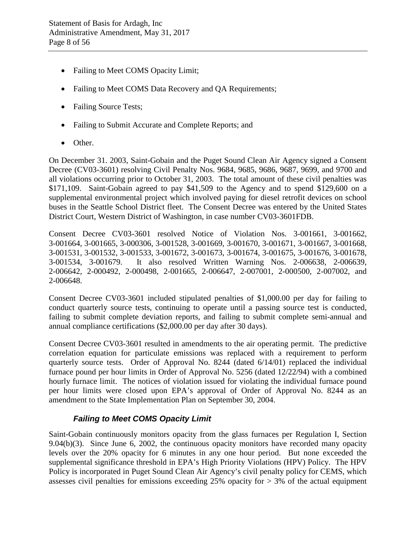- Failing to Meet COMS Opacity Limit;
- Failing to Meet COMS Data Recovery and QA Requirements;
- Failing Source Tests;
- Failing to Submit Accurate and Complete Reports; and
- Other.

On December 31. 2003, Saint-Gobain and the Puget Sound Clean Air Agency signed a Consent Decree (CV03-3601) resolving Civil Penalty Nos. 9684, 9685, 9686, 9687, 9699, and 9700 and all violations occurring prior to October 31, 2003. The total amount of these civil penalties was \$171,109. Saint-Gobain agreed to pay \$41,509 to the Agency and to spend \$129,600 on a supplemental environmental project which involved paying for diesel retrofit devices on school buses in the Seattle School District fleet. The Consent Decree was entered by the United States District Court, Western District of Washington, in case number CV03-3601FDB.

Consent Decree CV03-3601 resolved Notice of Violation Nos. 3-001661, 3-001662, 3-001664, 3-001665, 3-000306, 3-001528, 3-001669, 3-001670, 3-001671, 3-001667, 3-001668, 3-001531, 3-001532, 3-001533, 3-001672, 3-001673, 3-001674, 3-001675, 3-001676, 3-001678, 3-001534, 3-001679. It also resolved Written Warning Nos. 2-006638, 2-006639, 2-006642, 2-000492, 2-000498, 2-001665, 2-006647, 2-007001, 2-000500, 2-007002, and 2-006648.

Consent Decree CV03-3601 included stipulated penalties of \$1,000.00 per day for failing to conduct quarterly source tests, continuing to operate until a passing source test is conducted, failing to submit complete deviation reports, and failing to submit complete semi-annual and annual compliance certifications (\$2,000.00 per day after 30 days).

Consent Decree CV03-3601 resulted in amendments to the air operating permit. The predictive correlation equation for particulate emissions was replaced with a requirement to perform quarterly source tests. Order of Approval No. 8244 (dated 6/14/01) replaced the individual furnace pound per hour limits in Order of Approval No. 5256 (dated 12/22/94) with a combined hourly furnace limit. The notices of violation issued for violating the individual furnace pound per hour limits were closed upon EPA's approval of Order of Approval No. 8244 as an amendment to the State Implementation Plan on September 30, 2004.

## *Failing to Meet COMS Opacity Limit*

Saint-Gobain continuously monitors opacity from the glass furnaces per Regulation I, Section 9.04(b)(3). Since June 6, 2002, the continuous opacity monitors have recorded many opacity levels over the 20% opacity for 6 minutes in any one hour period. But none exceeded the supplemental significance threshold in EPA's High Priority Violations (HPV) Policy. The HPV Policy is incorporated in Puget Sound Clean Air Agency's civil penalty policy for CEMS, which assesses civil penalties for emissions exceeding 25% opacity for > 3% of the actual equipment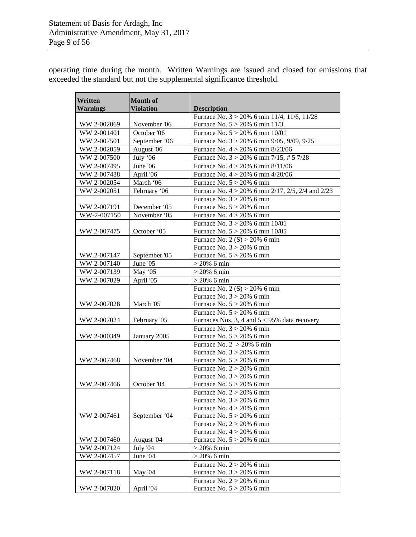operating time during the month. Written Warnings are issued and closed for emissions that exceeded the standard but not the supplemental significance threshold.

| Written<br><b>Warnings</b> | <b>Month of</b><br><b>Violation</b> | <b>Description</b>                                           |
|----------------------------|-------------------------------------|--------------------------------------------------------------|
|                            |                                     | Furnace No. $3 > 20\%$ 6 min 11/4, 11/6, 11/28               |
| WW 2-002069                | November '06                        | Furnace No. $5 > 20\%$ 6 min 11/3                            |
| WW 2-001401                | October '06                         | Furnace No. $5 > 20\%$ 6 min 10/01                           |
| WW 2-007501                | September '06                       | Furnace No. $3 > 20\%$ 6 min 9/05, 9/09, 9/25                |
| WW 2-002059                | August '06                          | Furnace No. $4 > 20\%$ 6 min 8/23/06                         |
| WW 2-007500                | July '06                            | Furnace No. $3 > 20\%$ 6 min 7/15, # 5 7/28                  |
| WW 2-007495                | June '06                            | Furnace No. $4 > 20\%$ 6 min $8/11/06$                       |
| WW 2-007488                | April '06                           | Furnace No. $4 > 20\%$ 6 min 4/20/06                         |
| WW 2-002054                | March '06                           | Furnace No. $5 > 20\%$ 6 min                                 |
| WW 2-002051                | February '06                        | Furnace No. $4 > 20\%$ 6 min 2/17, 2/5, 2/4 and 2/23         |
|                            |                                     | Furnace No. $3 > 20\%$ 6 min                                 |
| WW 2-007191                | December '05                        | Furnace No. $5 > 20\%$ 6 min                                 |
| WW-2-007150                | November '05                        | Furnace No. $4 > 20\%$ 6 min                                 |
|                            |                                     | Furnace No. $3 > 20\%$ 6 min 10/01                           |
| WW 2-007475                | October '05                         | Furnace No. 5 > 20% 6 min 10/05                              |
|                            |                                     | Furnace No. 2 (S) > 20% 6 min                                |
|                            |                                     | Furnace No. $3 > 20\%$ 6 min                                 |
| WW 2-007147                | September '05                       | Furnace No. $5 > 20\%$ 6 min                                 |
| WW 2-007140                | June '05                            | $> 20\%$ 6 min                                               |
| WW 2-007139                | May '05                             | $> 20\%$ 6 min                                               |
| WW 2-007029                | April '05                           | $> 20\%$ 6 min                                               |
|                            |                                     | Furnace No. 2 (S) > 20% 6 min                                |
|                            |                                     | Furnace No. $3 > 20\%$ 6 min                                 |
| WW 2-007028                | March '05                           | Furnace No. $5 > 20\%$ 6 min                                 |
|                            |                                     | Furnace No. $5 > 20\%$ 6 min                                 |
| WW 2-007024                | February '05                        | Furnaces Nos. 3, 4 and $5 < 95\%$ data recovery              |
|                            |                                     | Furnace No. $3 > 20\%$ 6 min                                 |
| WW 2-000349                | January 2005                        | Furnace No. $5 > 20\%$ 6 min                                 |
|                            |                                     | Furnace No. $2 > 20\%$ 6 min                                 |
|                            |                                     | Furnace No. $3 > 20\%$ 6 min                                 |
| WW 2-007468                | November '04                        | Furnace No. $5 > 20\%$ 6 min                                 |
|                            |                                     | Furnace No. $2 > 20\%$ 6 min                                 |
|                            |                                     | Furnace No. $3 > 20\%$ 6 min                                 |
| WW 2-007466                | October '04                         | Furnace No. $5 > 20\%$ 6 min                                 |
|                            |                                     | Furnace No. $2 > 20\%$ 6 min                                 |
|                            |                                     | Furnace No. $3 > 20\%$ 6 min                                 |
|                            |                                     | Furnace No. $4 > 20\%$ 6 min                                 |
| WW 2-007461                | September '04                       | Furnace No. $5 > 20\%$ 6 min<br>Furnace No. $2 > 20\%$ 6 min |
|                            |                                     | Furnace No. $4 > 20\%$ 6 min                                 |
| WW 2-007460                | August '04                          | Furnace No. $5 > 20\%$ 6 min                                 |
| WW 2-007124                | July '04                            | $> 20\%$ 6 min                                               |
| WW 2-007457                | June '04                            | $> 20\%$ 6 min                                               |
|                            |                                     | Furnace No. $2 > 20\%$ 6 min                                 |
| WW 2-007118                | <b>May '04</b>                      | Furnace No. $3 > 20\%$ 6 min                                 |
|                            |                                     | Furnace No. $2 > 20\%$ 6 min                                 |
| WW 2-007020                | April '04                           | Furnace No. $5 > 20\%$ 6 min                                 |
|                            |                                     |                                                              |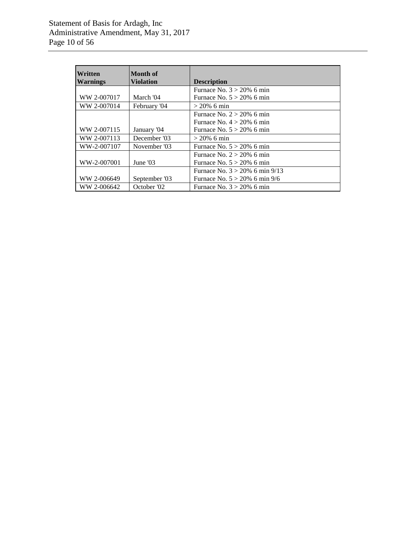| Written<br><b>Warnings</b> | Month of<br><b>Violation</b> | <b>Description</b>                |
|----------------------------|------------------------------|-----------------------------------|
|                            |                              | Furnace No. $3 > 20\%$ 6 min      |
| WW 2-007017                | March '04                    | Furnace No. $5 > 20\%$ 6 min      |
| WW 2-007014                | February '04                 | $> 20\%$ 6 min                    |
|                            |                              | Furnace No. $2 > 20\%$ 6 min      |
|                            |                              | Furnace No. $4 > 20\%$ 6 min      |
| WW 2-007115                | January '04                  | Furnace No. $5 > 20\%$ 6 min      |
| WW 2-007113                | December '03                 | $> 20\%$ 6 min                    |
| WW-2-007107                | November '03                 | Furnace No. $5 > 20\%$ 6 min      |
|                            |                              | Furnace No. $2 > 20\%$ 6 min      |
| WW-2-007001                | June $'03$                   | Furnace No. $5 > 20\%$ 6 min      |
|                            |                              | Furnace No. $3 > 20\%$ 6 min 9/13 |
| WW 2-006649                | September '03                | Furnace No. $5 > 20\%$ 6 min 9/6  |
| WW 2-006642                | October '02                  | Furnace No. $3 > 20\%$ 6 min      |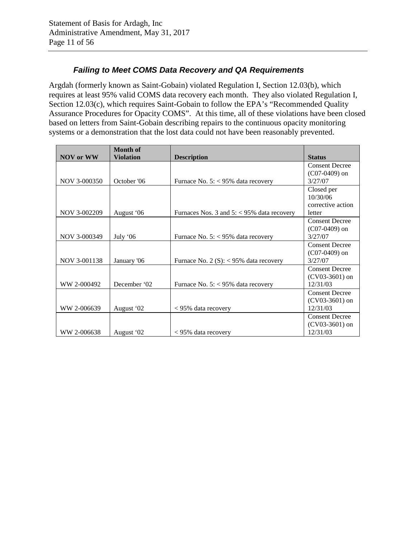## *Failing to Meet COMS Data Recovery and QA Requirements*

Argdah (formerly known as Saint-Gobain) violated Regulation I, Section 12.03(b), which requires at least 95% valid COMS data recovery each month. They also violated Regulation I, Section 12.03(c), which requires Saint-Gobain to follow the EPA's "Recommended Quality Assurance Procedures for Opacity COMS". At this time, all of these violations have been closed based on letters from Saint-Gobain describing repairs to the continuous opacity monitoring systems or a demonstration that the lost data could not have been reasonably prevented.

|                  | <b>Month of</b>  |                                              |                       |
|------------------|------------------|----------------------------------------------|-----------------------|
| <b>NOV or WW</b> | <b>Violation</b> | <b>Description</b>                           | <b>Status</b>         |
|                  |                  |                                              | <b>Consent Decree</b> |
|                  |                  |                                              | $(C07-0409)$ on       |
| NOV 3-000350     | October '06      | Furnace No. 5: < 95% data recovery           | 3/27/07               |
|                  |                  |                                              | Closed per            |
|                  |                  |                                              | 10/30/06              |
|                  |                  |                                              | corrective action     |
| NOV 3-002209     | August '06       | Furnaces Nos. 3 and $5:$ < 95% data recovery | letter                |
|                  |                  |                                              | <b>Consent Decree</b> |
|                  |                  |                                              | $(C07-0409)$ on       |
| NOV 3-000349     | July $06$        | Furnace No. $5: < 95\%$ data recovery        | 3/27/07               |
|                  |                  |                                              | <b>Consent Decree</b> |
|                  |                  |                                              | $(C07-0409)$ on       |
| NOV 3-001138     | January '06      | Furnace No. 2 (S): $<$ 95% data recovery     | 3/27/07               |
|                  |                  |                                              | <b>Consent Decree</b> |
|                  |                  |                                              | $(CV03-3601)$ on      |
| WW 2-000492      | December '02     | Furnace No. $5: < 95\%$ data recovery        | 12/31/03              |
|                  |                  |                                              | <b>Consent Decree</b> |
|                  |                  |                                              | $(CV03-3601)$ on      |
| WW 2-006639      | August '02       | $< 95\%$ data recovery                       | 12/31/03              |
|                  |                  |                                              | <b>Consent Decree</b> |
|                  |                  |                                              | $(CV03-3601)$ on      |
| WW 2-006638      | August '02       | < 95% data recovery                          | 12/31/03              |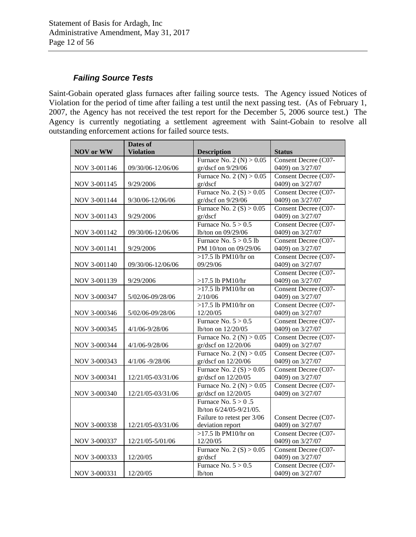## *Failing Source Tests*

Saint-Gobain operated glass furnaces after failing source tests. The Agency issued Notices of Violation for the period of time after failing a test until the next passing test. (As of February 1, 2007, the Agency has not received the test report for the December 5, 2006 source test.) The Agency is currently negotiating a settlement agreement with Saint-Gobain to resolve all outstanding enforcement actions for failed source tests.

|                  | Dates of           |                            |                      |
|------------------|--------------------|----------------------------|----------------------|
| <b>NOV</b> or WW | <b>Violation</b>   | <b>Description</b>         | <b>Status</b>        |
|                  |                    | Furnace No. 2 (N) $> 0.05$ | Consent Decree (C07- |
| NOV 3-001146     | 09/30/06-12/06/06  | gr/dscf on 9/29/06         | 0409) on 3/27/07     |
|                  |                    | Furnace No. 2 (N) $> 0.05$ | Consent Decree (C07- |
| NOV 3-001145     | 9/29/2006          | gr/dscf                    | 0409) on 3/27/07     |
|                  |                    | Furnace No. 2 (S) > $0.05$ | Consent Decree (C07- |
| NOV 3-001144     | 9/30/06-12/06/06   | gr/dscf on 9/29/06         | 0409) on 3/27/07     |
|                  |                    | Furnace No. 2 (S) $> 0.05$ | Consent Decree (C07- |
| NOV 3-001143     | 9/29/2006          | gr/dscf                    | 0409) on 3/27/07     |
|                  |                    | Furnace No. $5 > 0.5$      | Consent Decree (C07- |
| NOV 3-001142     | 09/30/06-12/06/06  | lb/ton on 09/29/06         | 0409) on 3/27/07     |
|                  |                    | Furnace No. $5 > 0.5$ lb   | Consent Decree (C07- |
| NOV 3-001141     | 9/29/2006          | PM 10/ton on 09/29/06      | 0409) on 3/27/07     |
|                  |                    | $>17.5$ lb PM10/hr on      | Consent Decree (C07- |
| NOV 3-001140     | 09/30/06-12/06/06  | 09/29/06                   | 0409) on 3/27/07     |
|                  |                    |                            | Consent Decree (C07- |
| NOV 3-001139     | 9/29/2006          | $>17.5$ lb PM10/hr         | 0409) on 3/27/07     |
|                  |                    | $>17.5$ lb PM10/hr on      | Consent Decree (C07- |
| NOV 3-000347     | 5/02/06-09/28/06   | 2/10/06                    | 0409) on 3/27/07     |
|                  |                    | $>17.5$ lb PM10/hr on      | Consent Decree (C07- |
| NOV 3-000346     | 5/02/06-09/28/06   | 12/20/05                   | 0409) on 3/27/07     |
|                  |                    | Furnace No. $5 > 0.5$      | Consent Decree (C07- |
| NOV 3-000345     | 4/1/06-9/28/06     | lb/ton on 12/20/05         | 0409) on 3/27/07     |
|                  |                    | Furnace No. 2 (N) $> 0.05$ | Consent Decree (C07- |
| NOV 3-000344     | 4/1/06-9/28/06     | gr/dscf on 12/20/06        | 0409) on 3/27/07     |
|                  |                    | Furnace No. 2 (N) $> 0.05$ | Consent Decree (C07- |
| NOV 3-000343     | $4/1/06 - 9/28/06$ | gr/dscf on 12/20/06        | 0409) on 3/27/07     |
|                  |                    | Furnace No. 2 (S) $> 0.05$ | Consent Decree (C07- |
| NOV 3-000341     | 12/21/05-03/31/06  | gr/dscf on 12/20/05        | 0409) on 3/27/07     |
|                  |                    | Furnace No. 2 (N) $> 0.05$ | Consent Decree (C07- |
| NOV 3-000340     | 12/21/05-03/31/06  | gr/dscf on 12/20/05        | 0409) on 3/27/07     |
|                  |                    | Furnace No. $5 > 0.5$      |                      |
|                  |                    | lb/ton 6/24/05-9/21/05.    |                      |
|                  |                    | Failure to retest per 3/06 | Consent Decree (C07- |
| NOV 3-000338     | 12/21/05-03/31/06  | deviation report           | 0409) on 3/27/07     |
|                  |                    | $>17.5$ lb PM10/hr on      | Consent Decree (C07- |
| NOV 3-000337     | 12/21/05-5/01/06   | 12/20/05                   | 0409) on 3/27/07     |
|                  |                    | Furnace No. 2 (S) > $0.05$ | Consent Decree (C07- |
| NOV 3-000333     | 12/20/05           | gr/dscf                    | 0409) on 3/27/07     |
|                  |                    | Furnace No. $5 > 0.5$      | Consent Decree (C07- |
| NOV 3-000331     | 12/20/05           | lb/ton                     | 0409) on 3/27/07     |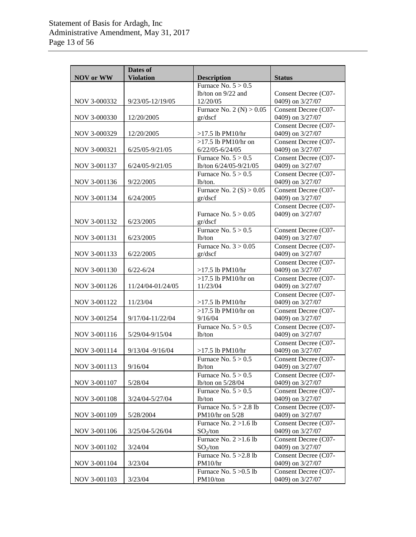| <b>NOV</b> or WW | Dates of<br><b>Violation</b> | <b>Description</b>                   | <b>Status</b>                            |
|------------------|------------------------------|--------------------------------------|------------------------------------------|
|                  |                              | Furnace No. $5 > 0.5$                |                                          |
|                  |                              | lb/ton on $9/22$ and                 | Consent Decree (C07-                     |
| NOV 3-000332     | 9/23/05-12/19/05             | 12/20/05                             | 0409) on 3/27/07                         |
|                  |                              | Furnace No. 2 (N) $> 0.05$           | Consent Decree (C07-                     |
| NOV 3-000330     | 12/20/2005                   | gr/dscf                              | 0409) on 3/27/07                         |
|                  |                              |                                      | Consent Decree (C07-                     |
| NOV 3-000329     | 12/20/2005                   | $>17.5$ lb PM10/hr                   | 0409) on 3/27/07                         |
|                  |                              | $>17.5$ lb PM $10$ /hr on            | Consent Decree (C07-                     |
| NOV 3-000321     | 6/25/05-9/21/05              | $6/22/05 - 6/24/05$                  | 0409) on 3/27/07                         |
|                  |                              | Furnace No. $5 > 0.5$                | Consent Decree (C07-                     |
| NOV 3-001137     | 6/24/05-9/21/05              | lb/ton 6/24/05-9/21/05               | 0409) on 3/27/07                         |
|                  |                              | Furnace No. $5 > 0.5$                | Consent Decree (C07-                     |
| NOV 3-001136     | 9/22/2005                    | lb/ton.                              | 0409) on 3/27/07                         |
|                  |                              | Furnace No. 2 (S) $> 0.05$           | Consent Decree (C07-                     |
| NOV 3-001134     | 6/24/2005                    | gr/dscf                              | 0409) on 3/27/07                         |
|                  |                              |                                      | Consent Decree (C07-                     |
|                  |                              | Furnace No. $5 > 0.05$               | 0409) on 3/27/07                         |
| NOV 3-001132     | 6/23/2005                    | gr/dscf                              |                                          |
|                  |                              | Furnace No. $5 > 0.5$                | Consent Decree (C07-                     |
| NOV 3-001131     | 6/23/2005                    | $lb$ /ton                            | 0409) on 3/27/07                         |
|                  |                              | Furnace No. $3 > 0.05$               | Consent Decree (C07-                     |
| NOV 3-001133     | 6/22/2005                    | gr/dscf                              | 0409) on 3/27/07                         |
|                  |                              |                                      | Consent Decree (C07-                     |
| NOV 3-001130     | $6/22 - 6/24$                | $>17.5$ lb PM10/hr                   | 0409) on 3/27/07                         |
|                  |                              | $>17.5$ lb PM10/hr on                | Consent Decree (C07-                     |
| NOV 3-001126     | 11/24/04-01/24/05            | 11/23/04                             | 0409) on 3/27/07                         |
|                  |                              |                                      | Consent Decree (C07-                     |
| NOV 3-001122     | 11/23/04                     | $>17.5$ lb PM10/hr                   | 0409) on 3/27/07                         |
| NOV 3-001254     | 9/17/04-11/22/04             | $>17.5$ lb PM $10$ /hr on<br>9/16/04 | Consent Decree (C07-<br>0409) on 3/27/07 |
|                  |                              | Furnace No. $5 > 0.5$                | Consent Decree (C07-                     |
| NOV 3-001116     | 5/29/04-9/15/04              | $lb$ /ton                            | 0409) on 3/27/07                         |
|                  |                              |                                      | Consent Decree (C07-                     |
| NOV 3-001114     | 9/13/04 - 9/16/04            | $>17.5$ lb PM10/hr                   | 0409) on 3/27/07                         |
|                  |                              | Furnace No. $5 > 0.5$                | Consent Decree (C07-                     |
| NOV 3-001113     | 9/16/04                      | lb/ton                               | 0409) on 3/27/07                         |
|                  |                              | Furnace No. $5 > 0.5$                | Consent Decree (C07-                     |
| NOV 3-001107     | 5/28/04                      | lb/ton on 5/28/04                    | 0409) on 3/27/07                         |
|                  |                              | Furnace No. $5 > 0.5$                | Consent Decree (C07-                     |
| NOV 3-001108     | 3/24/04-5/27/04              | $lb$ ton                             | 0409) on 3/27/07                         |
|                  |                              | Furnace No. $5 > 2.8$ lb             | Consent Decree (C07-                     |
| NOV 3-001109     | 5/28/2004                    | PM10/hr on 5/28                      | 0409) on 3/27/07                         |
|                  |                              | Furnace No. $2 > 1.6$ lb             | Consent Decree (C07-                     |
| NOV 3-001106     | 3/25/04-5/26/04              | $SO_2$ /ton                          | 0409) on 3/27/07                         |
|                  |                              | Furnace No. $2 > 1.6$ lb             | Consent Decree (C07-                     |
| NOV 3-001102     | 3/24/04                      | $SO_2$ /ton                          | 0409) on 3/27/07                         |
|                  |                              | Furnace No. $5 > 2.8$ lb             | Consent Decree (C07-                     |
| NOV 3-001104     | 3/23/04                      | PM10/hr                              | 0409) on 3/27/07                         |
|                  |                              | Furnace No. $5 > 0.5$ lb             | Consent Decree (C07-                     |
| NOV 3-001103     | 3/23/04                      | PM10/ton                             | 0409) on 3/27/07                         |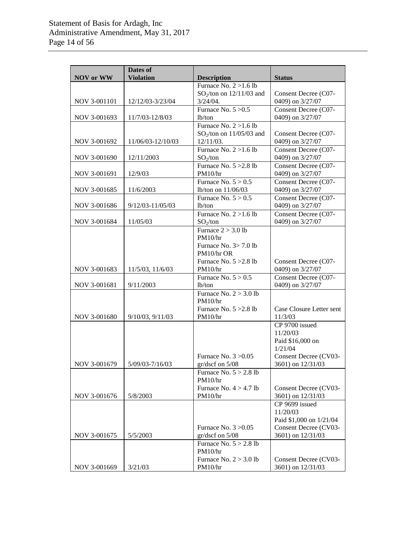|                  | Dates of              |                                                |                                            |
|------------------|-----------------------|------------------------------------------------|--------------------------------------------|
| <b>NOV</b> or WW | <b>Violation</b>      | <b>Description</b><br>Furnace No. $2 > 1.6$ lb | <b>Status</b>                              |
|                  |                       | $SO_2$ /ton on 12/11/03 and                    | Consent Decree (C07-                       |
| NOV 3-001101     | 12/12/03-3/23/04      | $3/24/04$ .                                    | 0409) on 3/27/07                           |
|                  |                       | Furnace No. $5 > 0.5$                          | Consent Decree (C07-                       |
| NOV 3-001693     | 11/7/03-12/8/03       | lb/ton                                         | 0409) on 3/27/07                           |
|                  |                       | Furnace No. $2 > 1.6$ lb                       |                                            |
|                  |                       | $SO_2$ /ton on 11/05/03 and                    | Consent Decree (C07-                       |
| NOV 3-001692     | 11/06/03-12/10/03     | 12/11/03.                                      | 0409) on 3/27/07                           |
|                  |                       | Furnace $\overline{No. 2 > 1.6 lb}$            | Consent Decree (C07-                       |
| NOV 3-001690     | 12/11/2003            | $SO_2$ /ton<br>Furnace No. $5 > 2.8$ lb        | 0409) on 3/27/07<br>Consent Decree (C07-   |
| NOV 3-001691     | 12/9/03               | PM10/hr                                        | 0409) on 3/27/07                           |
|                  |                       | Furnace No. $5 > 0.5$                          | Consent Decree (C07-                       |
| NOV 3-001685     | 11/6/2003             | lb/ton on 11/06/03                             | 0409) on 3/27/07                           |
|                  |                       | Furnace No. $5 > 0.5$                          | Consent Decree (C07-                       |
| NOV 3-001686     | 9/12/03-11/05/03      | lb/ton                                         | 0409) on 3/27/07                           |
|                  |                       | Furnace No. $2 > 1.6$ lb                       | Consent Decree (C07-                       |
| NOV 3-001684     | 11/05/03              | $SO_2$ /ton                                    | 0409) on 3/27/07                           |
|                  |                       | Furnace $2 > 3.0$ lb<br>PM10/hr                |                                            |
|                  |                       | Furnace No. 3> 7.0 lb                          |                                            |
|                  |                       | PM10/hr OR                                     |                                            |
|                  |                       | Furnace No. $5 > 2.8$ lb                       | Consent Decree (C07-                       |
| NOV 3-001683     | 11/5/03, 11/6/03      | PM10/hr                                        | 0409) on 3/27/07                           |
|                  |                       | Furnace No. $5 > 0.5$                          | Consent Decree (C07-                       |
| NOV 3-001681     | 9/11/2003             | lb/ton                                         | 0409) on 3/27/07                           |
|                  |                       | Furnace No. $2 > 3.0$ lb                       |                                            |
|                  |                       | PM10/hr<br>Furnace No. $5 > 2.8$ lb            | Case Closure Letter sent                   |
| NOV 3-001680     | $9/10/03$ , $9/11/03$ | PM10/hr                                        | 11/3/03                                    |
|                  |                       |                                                | CP 9700 issued                             |
|                  |                       |                                                | 11/20/03                                   |
|                  |                       |                                                | Paid \$16,000 on                           |
|                  |                       |                                                | 1/21/04                                    |
| NOV 3-001679     | 5/09/03-7/16/03       | Furnace No. $3 > 0.05$<br>$gr/dscf$ on $5/08$  | Consent Decree (CV03-<br>3601) on 12/31/03 |
|                  |                       | Furnace No. $5 > 2.8$ lb                       |                                            |
|                  |                       | PM10/hr                                        |                                            |
|                  |                       | Furnace No. $4 > 4.7$ lb                       | Consent Decree (CV03-                      |
| NOV 3-001676     | 5/8/2003              | PM10/hr                                        | 3601) on 12/31/03                          |
|                  |                       |                                                | CP 9699 issued                             |
|                  |                       |                                                | 11/20/03<br>Paid \$1,000 on 1/21/04        |
|                  |                       | Furnace No. $3 > 0.05$                         | Consent Decree (CV03-                      |
| NOV 3-001675     | 5/5/2003              | gr/dscf on 5/08                                | 3601) on 12/31/03                          |
|                  |                       | Furnace No. $5 > 2.8$ lb                       |                                            |
|                  |                       | PM10/hr                                        |                                            |
|                  |                       | Furnace No. $2 > 3.0$ lb                       | Consent Decree (CV03-                      |
| NOV 3-001669     | 3/21/03               | PM10/hr                                        | 3601) on 12/31/03                          |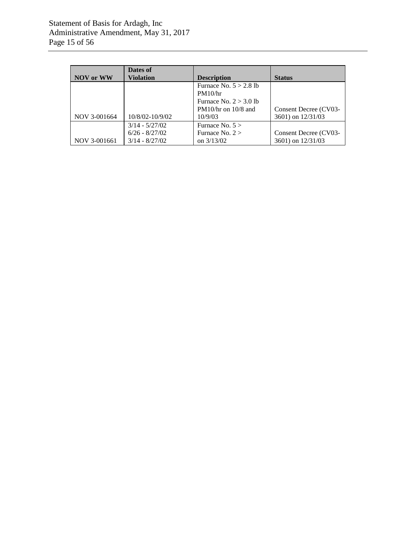| NOV or WW    | Dates of<br><b>Violation</b> | <b>Description</b>       | <b>Status</b>         |
|--------------|------------------------------|--------------------------|-----------------------|
|              |                              | Furnace No. $5 > 2.8$ lb |                       |
|              |                              | PM10/hr                  |                       |
|              |                              | Furnace No. $2 > 3.0$ lb |                       |
|              |                              | $PM10/hr$ on $10/8$ and  | Consent Decree (CV03- |
| NOV 3-001664 | 10/8/02-10/9/02              | 10/9/03                  | 3601) on 12/31/03     |
|              | $3/14 - 5/27/02$             | Furnace No. $5 >$        |                       |
|              | $6/26 - 8/27/02$             | Furnace No. $2 >$        | Consent Decree (CV03- |
| NOV 3-001661 | $3/14 - 8/27/02$             | on $3/13/02$             | 3601) on 12/31/03     |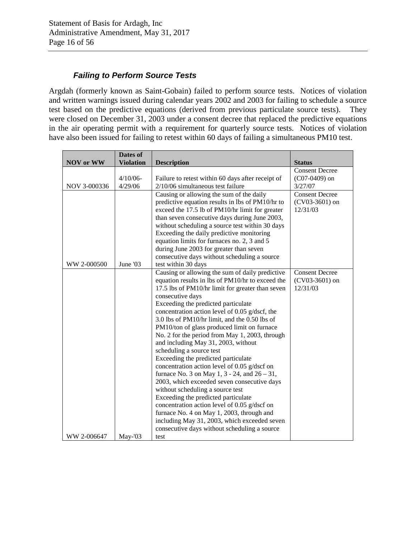## *Failing to Perform Source Tests*

Argdah (formerly known as Saint-Gobain) failed to perform source tests. Notices of violation and written warnings issued during calendar years 2002 and 2003 for failing to schedule a source test based on the predictive equations (derived from previous particulate source tests). They were closed on December 31, 2003 under a consent decree that replaced the predictive equations in the air operating permit with a requirement for quarterly source tests. Notices of violation have also been issued for failing to retest within 60 days of failing a simultaneous PM10 test.

|                  | Dates of         |                                                                 |                                          |
|------------------|------------------|-----------------------------------------------------------------|------------------------------------------|
| <b>NOV or WW</b> | <b>Violation</b> | <b>Description</b>                                              | <b>Status</b>                            |
|                  | $4/10/06$ -      | Failure to retest within 60 days after receipt of               | <b>Consent Decree</b><br>$(C07-0409)$ on |
| NOV 3-000336     | 4/29/06          | $2/10/06$ simultaneous test failure                             | 3/27/07                                  |
|                  |                  | Causing or allowing the sum of the daily                        | Consent Decree                           |
|                  |                  | predictive equation results in lbs of PM10/hr to                | $(CV03-3601)$ on                         |
|                  |                  | exceed the 17.5 lb of PM10/hr limit for greater                 | 12/31/03                                 |
|                  |                  | than seven consecutive days during June 2003,                   |                                          |
|                  |                  | without scheduling a source test within 30 days                 |                                          |
|                  |                  | Exceeding the daily predictive monitoring                       |                                          |
|                  |                  | equation limits for furnaces no. 2, 3 and 5                     |                                          |
|                  |                  | during June 2003 for greater than seven                         |                                          |
|                  |                  | consecutive days without scheduling a source                    |                                          |
| WW 2-000500      | June '03         | test within 30 days                                             |                                          |
|                  |                  | Causing or allowing the sum of daily predictive                 | <b>Consent Decree</b>                    |
|                  |                  | equation results in lbs of PM10/hr to exceed the                | (CV03-3601) on                           |
|                  |                  | 17.5 lbs of PM10/hr limit for greater than seven                | 12/31/03                                 |
|                  |                  | consecutive days                                                |                                          |
|                  |                  | Exceeding the predicted particulate                             |                                          |
|                  |                  | concentration action level of 0.05 g/dscf, the                  |                                          |
|                  |                  | 3.0 lbs of PM10/hr limit, and the 0.50 lbs of                   |                                          |
|                  |                  | PM10/ton of glass produced limit on furnace                     |                                          |
|                  |                  | No. 2 for the period from May 1, 2003, through                  |                                          |
|                  |                  | and including May 31, 2003, without                             |                                          |
|                  |                  | scheduling a source test<br>Exceeding the predicted particulate |                                          |
|                  |                  | concentration action level of 0.05 g/dscf on                    |                                          |
|                  |                  | furnace No. 3 on May 1, $3 - 24$ , and $26 - 31$ ,              |                                          |
|                  |                  | 2003, which exceeded seven consecutive days                     |                                          |
|                  |                  | without scheduling a source test                                |                                          |
|                  |                  | Exceeding the predicted particulate                             |                                          |
|                  |                  | concentration action level of 0.05 g/dscf on                    |                                          |
|                  |                  | furnace No. 4 on May 1, 2003, through and                       |                                          |
|                  |                  | including May 31, 2003, which exceeded seven                    |                                          |
|                  |                  | consecutive days without scheduling a source                    |                                          |
| WW 2-006647      | $May-03$         | test                                                            |                                          |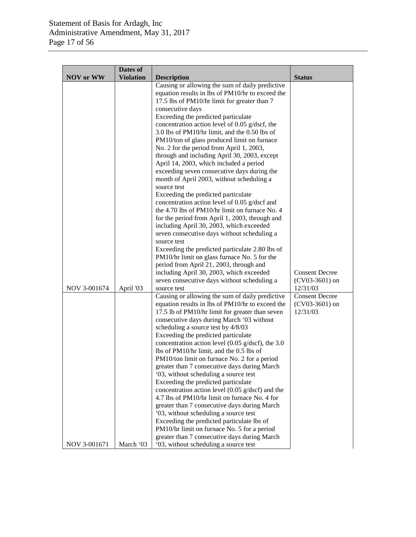|                  | Dates of         |                                                                                                                                                                                                                                                                                                                                                                                                                                                                                                                                                                                                                                                                                                                                                                                                                                      |                                                       |
|------------------|------------------|--------------------------------------------------------------------------------------------------------------------------------------------------------------------------------------------------------------------------------------------------------------------------------------------------------------------------------------------------------------------------------------------------------------------------------------------------------------------------------------------------------------------------------------------------------------------------------------------------------------------------------------------------------------------------------------------------------------------------------------------------------------------------------------------------------------------------------------|-------------------------------------------------------|
| <b>NOV</b> or WW | <b>Violation</b> | <b>Description</b><br>Causing or allowing the sum of daily predictive<br>equation results in lbs of PM10/hr to exceed the<br>17.5 lbs of PM10/hr limit for greater than 7<br>consecutive days<br>Exceeding the predicted particulate<br>concentration action level of 0.05 g/dscf, the<br>3.0 lbs of PM10/hr limit, and the 0.50 lbs of<br>PM10/ton of glass produced limit on furnace<br>No. 2 for the period from April 1, 2003,<br>through and including April 30, 2003, except<br>April 14, 2003, which included a period<br>exceeding seven consecutive days during the<br>month of April 2003, without scheduling a<br>source test<br>Exceeding the predicted particulate<br>concentration action level of 0.05 g/dscf and<br>the 4.70 lbs of PM10/hr limit on furnace No. 4<br>for the period from April 1, 2003, through and | <b>Status</b>                                         |
| NOV 3-001674     | April '03        | including April 30, 2003, which exceeded<br>seven consecutive days without scheduling a<br>source test<br>Exceeding the predicted particulate 2.80 lbs of<br>PM10/hr limit on glass furnace No. 5 for the<br>period from April 21, 2003, through and<br>including April 30, 2003, which exceeded<br>seven consecutive days without scheduling a<br>source test                                                                                                                                                                                                                                                                                                                                                                                                                                                                       | <b>Consent Decree</b><br>$(CV03-3601)$ on<br>12/31/03 |
|                  |                  | Causing or allowing the sum of daily predictive<br>equation results in lbs of PM10/hr to exceed the<br>17.5 lb of PM10/hr limit for greater than seven<br>consecutive days during March '03 without<br>scheduling a source test by 4/8/03<br>Exceeding the predicted particulate<br>concentration action level (0.05 $g/dscf$ ), the 3.0<br>lbs of PM10/hr limit, and the 0.5 lbs of<br>PM10/ton limit on furnace No. 2 for a period<br>greater than 7 consecutive days during March<br>'03, without scheduling a source test<br>Exceeding the predicted particulate<br>concentration action level $(0.05 \text{ g/dscf})$ and the<br>4.7 lbs of PM10/hr limit on furnace No. 4 for<br>greater than 7 consecutive days during March<br>'03, without scheduling a source test<br>Exceeding the predicted particulate lbs of           | <b>Consent Decree</b><br>$(CV03-3601)$ on<br>12/31/03 |
| NOV 3-001671     | March '03        | PM10/hr limit on furnace No. 5 for a period<br>greater than 7 consecutive days during March<br>'03, without scheduling a source test                                                                                                                                                                                                                                                                                                                                                                                                                                                                                                                                                                                                                                                                                                 |                                                       |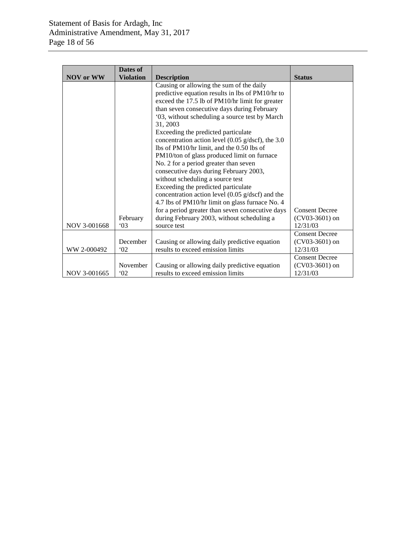|                  | Dates of         |                                                            |                       |
|------------------|------------------|------------------------------------------------------------|-----------------------|
| <b>NOV</b> or WW | <b>Violation</b> | <b>Description</b>                                         | <b>Status</b>         |
|                  |                  | Causing or allowing the sum of the daily                   |                       |
|                  |                  | predictive equation results in lbs of PM10/hr to           |                       |
|                  |                  | exceed the 17.5 lb of PM10/hr limit for greater            |                       |
|                  |                  | than seven consecutive days during February                |                       |
|                  |                  | '03, without scheduling a source test by March             |                       |
|                  |                  | 31, 2003                                                   |                       |
|                  |                  | Exceeding the predicted particulate                        |                       |
|                  |                  | concentration action level (0.05 g/dscf), the 3.0          |                       |
|                  |                  | lbs of PM10/hr limit, and the 0.50 lbs of                  |                       |
|                  |                  | PM10/ton of glass produced limit on furnace                |                       |
|                  |                  | No. 2 for a period greater than seven                      |                       |
|                  |                  | consecutive days during February 2003,                     |                       |
|                  |                  | without scheduling a source test                           |                       |
|                  |                  | Exceeding the predicted particulate                        |                       |
|                  |                  | concentration action level $(0.05 \text{ g/dscf})$ and the |                       |
|                  |                  | 4.7 lbs of PM10/hr limit on glass furnace No. 4            |                       |
|                  |                  | for a period greater than seven consecutive days           | <b>Consent Decree</b> |
|                  | February         | during February 2003, without scheduling a                 | (CV03-3601) on        |
| NOV 3-001668     | $^{\circ}$ 03    | source test                                                | 12/31/03              |
|                  |                  |                                                            | <b>Consent Decree</b> |
|                  | December         | Causing or allowing daily predictive equation              | $(CV03-3601)$ on      |
| WW 2-000492      | $^{\circ}$ 02    | results to exceed emission limits                          | 12/31/03              |
|                  |                  |                                                            | <b>Consent Decree</b> |
|                  | November         | Causing or allowing daily predictive equation              | $(CV03-3601)$ on      |
| NOV 3-001665     | $^{\circ}02$     | results to exceed emission limits                          | 12/31/03              |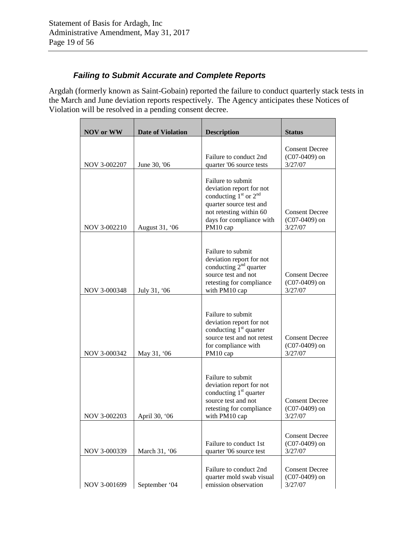## *Failing to Submit Accurate and Complete Reports*

Argdah (formerly known as Saint-Gobain) reported the failure to conduct quarterly stack tests in the March and June deviation reports respectively. The Agency anticipates these Notices of Violation will be resolved in a pending consent decree.

| <b>NOV</b> or WW | <b>Date of Violation</b> | <b>Description</b>                                                                                                                                                       | <b>Status</b>                                       |
|------------------|--------------------------|--------------------------------------------------------------------------------------------------------------------------------------------------------------------------|-----------------------------------------------------|
| NOV 3-002207     | June 30, '06             | Failure to conduct 2nd<br>quarter '06 source tests                                                                                                                       | <b>Consent Decree</b><br>$(C07-0409)$ on<br>3/27/07 |
| NOV 3-002210     | August 31, '06           | Failure to submit<br>deviation report for not<br>conducting $1st$ or $2nd$<br>quarter source test and<br>not retesting within 60<br>days for compliance with<br>PM10 cap | <b>Consent Decree</b><br>$(C07-0409)$ on<br>3/27/07 |
| NOV 3-000348     | July 31, '06             | Failure to submit<br>deviation report for not<br>conducting $2nd$ quarter<br>source test and not<br>retesting for compliance<br>with PM10 cap                            | <b>Consent Decree</b><br>$(C07-0409)$ on<br>3/27/07 |
| NOV 3-000342     | May 31, '06              | Failure to submit<br>deviation report for not<br>conducting $1st$ quarter<br>source test and not retest<br>for compliance with<br>PM10 cap                               | <b>Consent Decree</b><br>$(C07-0409)$ on<br>3/27/07 |
| NOV 3-002203     | April 30, '06            | Failure to submit<br>deviation report for not<br>conducting $1st$ quarter<br>source test and not<br>retesting for compliance<br>with PM10 cap                            | <b>Consent Decree</b><br>$(C07-0409)$ on<br>3/27/07 |
| NOV 3-000339     | March 31, '06            | Failure to conduct 1st<br>quarter '06 source test                                                                                                                        | <b>Consent Decree</b><br>$(C07-0409)$ on<br>3/27/07 |
| NOV 3-001699     | September '04            | Failure to conduct 2nd<br>quarter mold swab visual<br>emission observation                                                                                               | <b>Consent Decree</b><br>$(C07-0409)$ on<br>3/27/07 |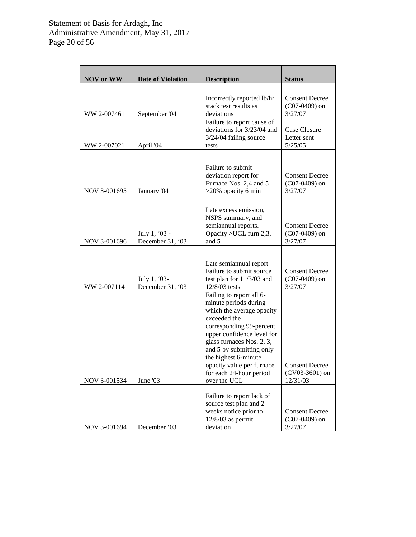| <b>NOV</b> or WW | <b>Date of Violation</b>          | <b>Description</b>                                                                                                                                                                                                                                                                                                | <b>Status</b>                                         |
|------------------|-----------------------------------|-------------------------------------------------------------------------------------------------------------------------------------------------------------------------------------------------------------------------------------------------------------------------------------------------------------------|-------------------------------------------------------|
| WW 2-007461      | September '04                     | Incorrectly reported lb/hr<br>stack test results as<br>deviations                                                                                                                                                                                                                                                 | <b>Consent Decree</b><br>$(C07-0409)$ on<br>3/27/07   |
| WW 2-007021      | April '04                         | Failure to report cause of<br>deviations for 3/23/04 and<br>3/24/04 failing source<br>tests                                                                                                                                                                                                                       | Case Closure<br>Letter sent<br>5/25/05                |
| NOV 3-001695     | January '04                       | Failure to submit<br>deviation report for<br>Furnace Nos. 2,4 and 5<br>>20% opacity 6 min                                                                                                                                                                                                                         | <b>Consent Decree</b><br>$(C07-0409)$ on<br>3/27/07   |
| NOV 3-001696     | July 1, '03 -<br>December 31, '03 | Late excess emission,<br>NSPS summary, and<br>semiannual reports.<br>Opacity > UCL furn 2,3,<br>and 5                                                                                                                                                                                                             | <b>Consent Decree</b><br>$(C07-0409)$ on<br>3/27/07   |
| WW 2-007114      | July 1, '03-<br>December 31, '03  | Late semiannual report<br>Failure to submit source<br>test plan for 11/3/03 and<br>12/8/03 tests                                                                                                                                                                                                                  | <b>Consent Decree</b><br>$(C07-0409)$ on<br>3/27/07   |
| NOV 3-001534     | June '03                          | Failing to report all 6-<br>minute periods during<br>which the average opacity<br>exceeded the<br>corresponding 99-percent<br>upper confidence level for<br>glass furnaces Nos. 2, 3,<br>and 5 by submitting only<br>the highest 6-minute<br>opacity value per furnace<br>for each 24-hour period<br>over the UCL | <b>Consent Decree</b><br>$(CV03-3601)$ on<br>12/31/03 |
| NOV 3-001694     | December '03                      | Failure to report lack of<br>source test plan and 2<br>weeks notice prior to<br>$12/8/03$ as permit<br>deviation                                                                                                                                                                                                  | <b>Consent Decree</b><br>$(C07-0409)$ on<br>3/27/07   |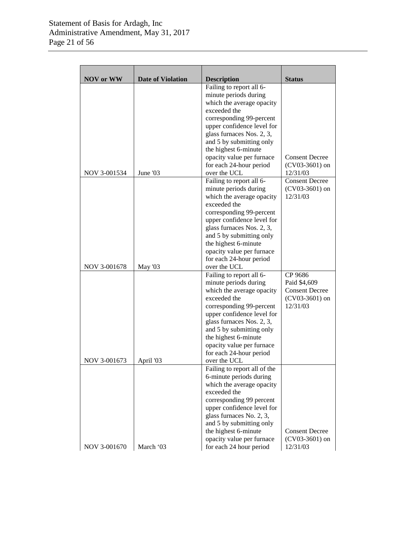| <b>NOV</b> or WW | <b>Date of Violation</b> | <b>Description</b>                               | <b>Status</b>         |
|------------------|--------------------------|--------------------------------------------------|-----------------------|
|                  |                          | Failing to report all 6-                         |                       |
|                  |                          | minute periods during                            |                       |
|                  |                          | which the average opacity                        |                       |
|                  |                          | exceeded the                                     |                       |
|                  |                          | corresponding 99-percent                         |                       |
|                  |                          | upper confidence level for                       |                       |
|                  |                          | glass furnaces Nos. 2, 3,                        |                       |
|                  |                          | and 5 by submitting only                         |                       |
|                  |                          | the highest 6-minute                             |                       |
|                  |                          | opacity value per furnace                        | <b>Consent Decree</b> |
|                  |                          | for each 24-hour period                          | $(CV03-3601)$ on      |
| NOV 3-001534     | June '03                 | over the UCL                                     | 12/31/03              |
|                  |                          | Failing to report all 6-                         | <b>Consent Decree</b> |
|                  |                          | minute periods during                            | $(CV03-3601)$ on      |
|                  |                          | which the average opacity                        | 12/31/03              |
|                  |                          | exceeded the                                     |                       |
|                  |                          | corresponding 99-percent                         |                       |
|                  |                          | upper confidence level for                       |                       |
|                  |                          | glass furnaces Nos. 2, 3,                        |                       |
|                  |                          | and 5 by submitting only<br>the highest 6-minute |                       |
|                  |                          | opacity value per furnace                        |                       |
|                  |                          | for each 24-hour period                          |                       |
| NOV 3-001678     | May '03                  | over the UCL                                     |                       |
|                  |                          | Failing to report all 6-                         | CP 9686               |
|                  |                          | minute periods during                            | Paid \$4,609          |
|                  |                          | which the average opacity                        | <b>Consent Decree</b> |
|                  |                          | exceeded the                                     | $(CV03-3601)$ on      |
|                  |                          | corresponding 99-percent                         | 12/31/03              |
|                  |                          | upper confidence level for                       |                       |
|                  |                          | glass furnaces Nos. 2, 3,                        |                       |
|                  |                          | and 5 by submitting only                         |                       |
|                  |                          | the highest 6-minute                             |                       |
|                  |                          | opacity value per furnace                        |                       |
|                  |                          | for each 24-hour period                          |                       |
| NOV 3-001673     | April '03                | over the UCL                                     |                       |
|                  |                          | Failing to report all of the                     |                       |
|                  |                          | 6-minute periods during                          |                       |
|                  |                          | which the average opacity                        |                       |
|                  |                          | exceeded the                                     |                       |
|                  |                          | corresponding 99 percent                         |                       |
|                  |                          | upper confidence level for                       |                       |
|                  |                          | glass furnaces No. 2, 3,                         |                       |
|                  |                          | and 5 by submitting only<br>the highest 6-minute | <b>Consent Decree</b> |
|                  |                          | opacity value per furnace                        | $(CV03-3601)$ on      |
|                  |                          |                                                  |                       |
| NOV 3-001670     | March '03                | for each 24 hour period                          | 12/31/03              |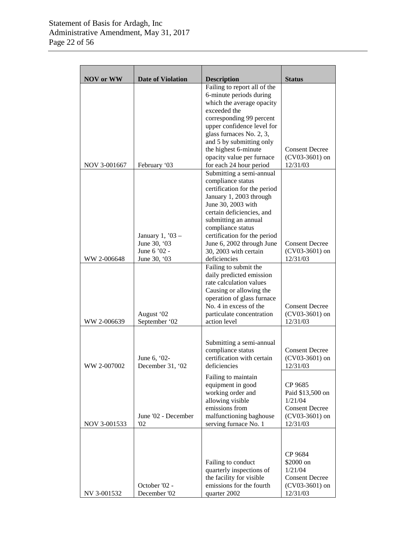| <b>NOV</b> or WW | <b>Date of Violation</b>           | <b>Description</b>                                                                                                                                                                                                                                                    | <b>Status</b>                                                                                   |
|------------------|------------------------------------|-----------------------------------------------------------------------------------------------------------------------------------------------------------------------------------------------------------------------------------------------------------------------|-------------------------------------------------------------------------------------------------|
|                  |                                    | Failing to report all of the<br>6-minute periods during<br>which the average opacity<br>exceeded the<br>corresponding 99 percent<br>upper confidence level for<br>glass furnaces No. 2, 3,<br>and 5 by submitting only<br>the highest 6-minute                        | <b>Consent Decree</b>                                                                           |
| NOV 3-001667     | February '03                       | opacity value per furnace<br>for each 24 hour period                                                                                                                                                                                                                  | $(CV03-3601)$ on<br>12/31/03                                                                    |
|                  | January 1, $'03 -$<br>June 30, '03 | Submitting a semi-annual<br>compliance status<br>certification for the period<br>January 1, 2003 through<br>June 30, 2003 with<br>certain deficiencies, and<br>submitting an annual<br>compliance status<br>certification for the period<br>June 6, 2002 through June | <b>Consent Decree</b>                                                                           |
| WW 2-006648      | June 6 '02 -<br>June 30, '03       | 30, 2003 with certain<br>deficiencies                                                                                                                                                                                                                                 | $(CV03-3601)$ on<br>12/31/03                                                                    |
| WW 2-006639      | August '02<br>September '02        | Failing to submit the<br>daily predicted emission<br>rate calculation values<br>Causing or allowing the<br>operation of glass furnace<br>No. 4 in excess of the<br>particulate concentration<br>action level                                                          | <b>Consent Decree</b><br>$(CV03-3601)$ on<br>12/31/03                                           |
| WW 2-007002      | June 6, '02-<br>December 31, '02   | Submitting a semi-annual<br>compliance status<br>certification with certain<br>deficiencies                                                                                                                                                                           | <b>Consent Decree</b><br>$(CV03-3601)$ on<br>12/31/03                                           |
| NOV 3-001533     | June '02 - December<br>02          | Failing to maintain<br>equipment in good<br>working order and<br>allowing visible<br>emissions from<br>malfunctioning baghouse<br>serving furnace No. 1                                                                                                               | CP 9685<br>Paid \$13,500 on<br>1/21/04<br><b>Consent Decree</b><br>$(CV03-3601)$ on<br>12/31/03 |
| NV 3-001532      | October '02 -<br>December '02      | Failing to conduct<br>quarterly inspections of<br>the facility for visible<br>emissions for the fourth<br>quarter 2002                                                                                                                                                | CP 9684<br>\$2000 on<br>1/21/04<br><b>Consent Decree</b><br>$(CV03-3601)$ on<br>12/31/03        |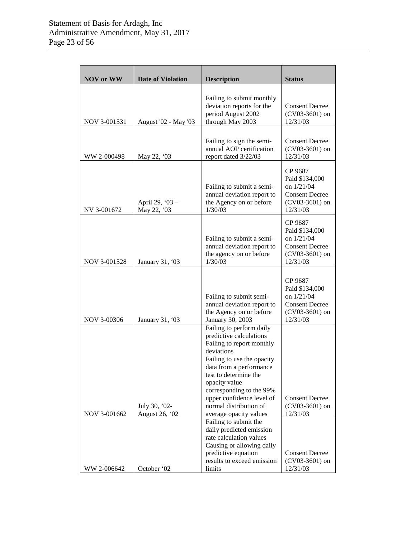| <b>NOV</b> or WW | <b>Date of Violation</b>        | <b>Description</b>                                                                                                                                                                                                                                                                                             | <b>Status</b>                                                                                      |
|------------------|---------------------------------|----------------------------------------------------------------------------------------------------------------------------------------------------------------------------------------------------------------------------------------------------------------------------------------------------------------|----------------------------------------------------------------------------------------------------|
| NOV 3-001531     | August '02 - May '03            | Failing to submit monthly<br>deviation reports for the<br>period August 2002<br>through May 2003                                                                                                                                                                                                               | <b>Consent Decree</b><br>$(CV03-3601)$ on<br>12/31/03                                              |
| WW 2-000498      | May 22, '03                     | Failing to sign the semi-<br>annual AOP certification<br>report dated 3/22/03                                                                                                                                                                                                                                  | <b>Consent Decree</b><br>$(CV03-3601)$ on<br>12/31/03                                              |
| NV 3-001672      | April 29, '03 -<br>May 22, '03  | Failing to submit a semi-<br>annual deviation report to<br>the Agency on or before<br>1/30/03                                                                                                                                                                                                                  | CP 9687<br>Paid \$134,000<br>on $1/21/04$<br><b>Consent Decree</b><br>$(CV03-3601)$ on<br>12/31/03 |
| NOV 3-001528     | January 31, '03                 | Failing to submit a semi-<br>annual deviation report to<br>the agency on or before<br>1/30/03                                                                                                                                                                                                                  | CP 9687<br>Paid \$134,000<br>on 1/21/04<br><b>Consent Decree</b><br>$(CV03-3601)$ on<br>12/31/03   |
| NOV 3-00306      | January 31, '03                 | Failing to submit semi-<br>annual deviation report to<br>the Agency on or before<br>January 30, 2003                                                                                                                                                                                                           | CP 9687<br>Paid \$134,000<br>on $1/21/04$<br><b>Consent Decree</b><br>$(CV03-3601)$ on<br>12/31/03 |
| NOV 3-001662     | July 30, '02-<br>August 26, '02 | Failing to perform daily<br>predictive calculations<br>Failing to report monthly<br>deviations<br>Failing to use the opacity<br>data from a performance<br>test to determine the<br>opacity value<br>corresponding to the 99%<br>upper confidence level of<br>normal distribution of<br>average opacity values | <b>Consent Decree</b><br>$(CV03-3601)$ on<br>12/31/03                                              |
| WW 2-006642      | October '02                     | Failing to submit the<br>daily predicted emission<br>rate calculation values<br>Causing or allowing daily<br>predictive equation<br>results to exceed emission<br>limits                                                                                                                                       | <b>Consent Decree</b><br>$(CV03-3601)$ on<br>12/31/03                                              |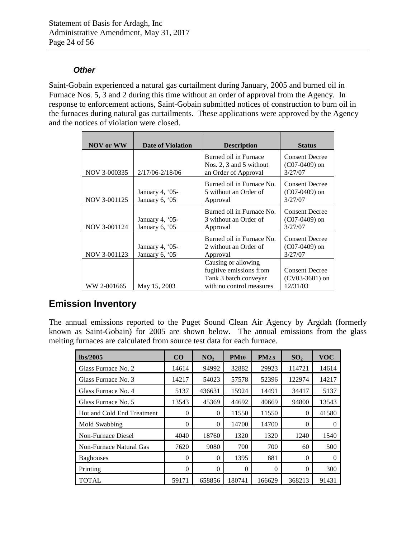## *Other*

Saint-Gobain experienced a natural gas curtailment during January, 2005 and burned oil in Furnace Nos. 5, 3 and 2 during this time without an order of approval from the Agency. In response to enforcement actions, Saint-Gobain submitted notices of construction to burn oil in the furnaces during natural gas curtailments. These applications were approved by the Agency and the notices of violation were closed.

| <b>NOV or WW</b> | <b>Date of Violation</b>            | <b>Description</b>                                                                                  | <b>Status</b>                                         |
|------------------|-------------------------------------|-----------------------------------------------------------------------------------------------------|-------------------------------------------------------|
|                  |                                     | Burned oil in Furnace<br>Nos. 2, 3 and 5 without                                                    | <b>Consent Decree</b><br>$(C07-0409)$ on              |
| NOV 3-000335     | $2/17/06 - 2/18/06$                 | an Order of Approval                                                                                | 3/27/07                                               |
| NOV 3-001125     | January 4, '05-<br>January 6, '05   | Burned oil in Furnace No.<br>5 without an Order of<br>Approval                                      | <b>Consent Decree</b><br>$(C07-0409)$ on<br>3/27/07   |
| NOV 3-001124     | January 4, $05$ -<br>January 6, '05 | Burned oil in Furnace No.<br>3 without an Order of<br>Approval                                      | <b>Consent Decree</b><br>$(C07-0409)$ on<br>3/27/07   |
| NOV 3-001123     | January 4, '05-<br>January 6, '05   | Burned oil in Furnace No.<br>2 without an Order of<br>Approval                                      | <b>Consent Decree</b><br>$(C07-0409)$ on<br>3/27/07   |
| WW 2-001665      | May 15, 2003                        | Causing or allowing<br>fugitive emissions from<br>Tank 3 batch conveyer<br>with no control measures | <b>Consent Decree</b><br>$(CV03-3601)$ on<br>12/31/03 |

# **Emission Inventory**

The annual emissions reported to the Puget Sound Clean Air Agency by Argdah (formerly known as Saint-Gobain) for 2005 are shown below. The annual emissions from the glass melting furnaces are calculated from source test data for each furnace.

| Ibs/2005                   | CO       | NO <sub>2</sub> | <b>PM10</b> | <b>PM2.5</b> | SO <sub>2</sub> | <b>VOC</b> |
|----------------------------|----------|-----------------|-------------|--------------|-----------------|------------|
| Glass Furnace No. 2        | 14614    | 94992           | 32882       | 29923        | 114721          | 14614      |
| Glass Furnace No. 3        | 14217    | 54023           | 57578       | 52396        | 122974          | 14217      |
| Glass Furnace No. 4        | 5137     | 436631          | 15924       | 14491        | 34417           | 5137       |
| Glass Furnace No. 5        | 13543    | 45369           | 44692       | 40669        | 94800           | 13543      |
| Hot and Cold End Treatment | $\theta$ | 0               | 11550       | 11550        | $\Omega$        | 41580      |
| Mold Swabbing              | 0        | $\theta$        | 14700       | 14700        | $\Omega$        | $\theta$   |
| Non-Furnace Diesel         | 4040     | 18760           | 1320        | 1320         | 1240            | 1540       |
| Non-Furnace Natural Gas    | 7620     | 9080            | 700         | 700          | 60              | 500        |
| <b>Baghouses</b>           | $\theta$ | $\theta$        | 1395        | 881          | $\Omega$        | 0          |
| Printing                   | $\theta$ | $\theta$        | $\Omega$    | $\theta$     | $\Omega$        | 300        |
| <b>TOTAL</b>               | 59171    | 658856          | 180741      | 166629       | 368213          | 91431      |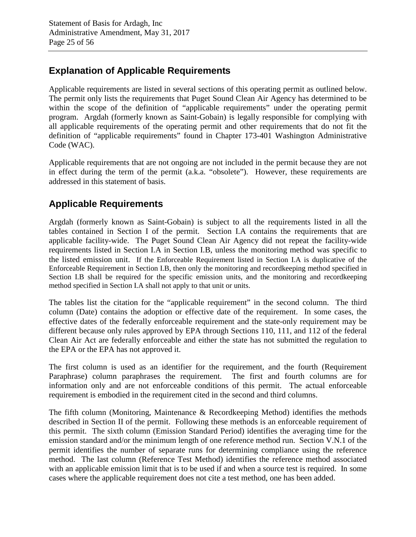## **Explanation of Applicable Requirements**

Applicable requirements are listed in several sections of this operating permit as outlined below. The permit only lists the requirements that Puget Sound Clean Air Agency has determined to be within the scope of the definition of "applicable requirements" under the operating permit program. Argdah (formerly known as Saint-Gobain) is legally responsible for complying with all applicable requirements of the operating permit and other requirements that do not fit the definition of "applicable requirements" found in Chapter 173-401 Washington Administrative Code (WAC).

Applicable requirements that are not ongoing are not included in the permit because they are not in effect during the term of the permit (a.k.a. "obsolete"). However, these requirements are addressed in this statement of basis.

# **Applicable Requirements**

Argdah (formerly known as Saint-Gobain) is subject to all the requirements listed in all the tables contained in Section I of the permit. Section I.A contains the requirements that are applicable facility-wide. The Puget Sound Clean Air Agency did not repeat the facility-wide requirements listed in Section I.A in Section I.B, unless the monitoring method was specific to the listed emission unit. If the Enforceable Requirement listed in Section I.A is duplicative of the Enforceable Requirement in Section I.B, then only the monitoring and recordkeeping method specified in Section I.B shall be required for the specific emission units, and the monitoring and recordkeeping method specified in Section I.A shall not apply to that unit or units.

The tables list the citation for the "applicable requirement" in the second column. The third column (Date) contains the adoption or effective date of the requirement. In some cases, the effective dates of the federally enforceable requirement and the state-only requirement may be different because only rules approved by EPA through Sections 110, 111, and 112 of the federal Clean Air Act are federally enforceable and either the state has not submitted the regulation to the EPA or the EPA has not approved it.

The first column is used as an identifier for the requirement, and the fourth (Requirement Paraphrase) column paraphrases the requirement. The first and fourth columns are for information only and are not enforceable conditions of this permit. The actual enforceable requirement is embodied in the requirement cited in the second and third columns.

The fifth column (Monitoring, Maintenance & Recordkeeping Method) identifies the methods described in Section II of the permit. Following these methods is an enforceable requirement of this permit. The sixth column (Emission Standard Period) identifies the averaging time for the emission standard and/or the minimum length of one reference method run. Section V.N.1 of the permit identifies the number of separate runs for determining compliance using the reference method. The last column (Reference Test Method) identifies the reference method associated with an applicable emission limit that is to be used if and when a source test is required. In some cases where the applicable requirement does not cite a test method, one has been added.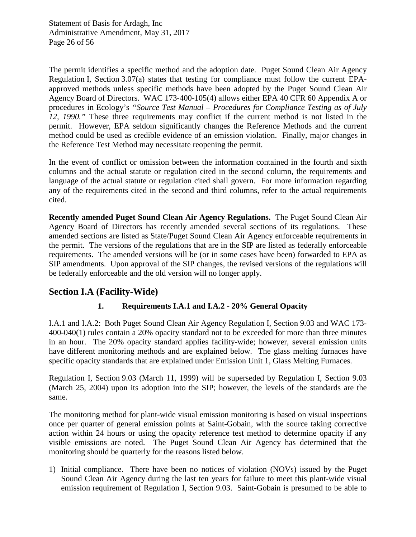The permit identifies a specific method and the adoption date. Puget Sound Clean Air Agency Regulation I, Section 3.07(a) states that testing for compliance must follow the current EPAapproved methods unless specific methods have been adopted by the Puget Sound Clean Air Agency Board of Directors. WAC 173-400-105(4) allows either EPA 40 CFR 60 Appendix A or procedures in Ecology's *"Source Test Manual – Procedures for Compliance Testing as of July 12, 1990."* These three requirements may conflict if the current method is not listed in the permit. However, EPA seldom significantly changes the Reference Methods and the current method could be used as credible evidence of an emission violation. Finally, major changes in the Reference Test Method may necessitate reopening the permit.

In the event of conflict or omission between the information contained in the fourth and sixth columns and the actual statute or regulation cited in the second column, the requirements and language of the actual statute or regulation cited shall govern. For more information regarding any of the requirements cited in the second and third columns, refer to the actual requirements cited.

**Recently amended Puget Sound Clean Air Agency Regulations.** The Puget Sound Clean Air Agency Board of Directors has recently amended several sections of its regulations. These amended sections are listed as State/Puget Sound Clean Air Agency enforceable requirements in the permit. The versions of the regulations that are in the SIP are listed as federally enforceable requirements. The amended versions will be (or in some cases have been) forwarded to EPA as SIP amendments. Upon approval of the SIP changes, the revised versions of the regulations will be federally enforceable and the old version will no longer apply.

## **Section I.A (Facility-Wide)**

## **1. Requirements I.A.1 and I.A.2 - 20% General Opacity**

I.A.1 and I.A.2: Both Puget Sound Clean Air Agency Regulation I, Section 9.03 and WAC 173- 400-040(1) rules contain a 20% opacity standard not to be exceeded for more than three minutes in an hour. The 20% opacity standard applies facility-wide; however, several emission units have different monitoring methods and are explained below. The glass melting furnaces have specific opacity standards that are explained under Emission Unit 1, Glass Melting Furnaces.

Regulation I, Section 9.03 (March 11, 1999) will be superseded by Regulation I, Section 9.03 (March 25, 2004) upon its adoption into the SIP; however, the levels of the standards are the same.

The monitoring method for plant-wide visual emission monitoring is based on visual inspections once per quarter of general emission points at Saint-Gobain, with the source taking corrective action within 24 hours or using the opacity reference test method to determine opacity if any visible emissions are noted. The Puget Sound Clean Air Agency has determined that the monitoring should be quarterly for the reasons listed below.

1) Initial compliance. There have been no notices of violation (NOVs) issued by the Puget Sound Clean Air Agency during the last ten years for failure to meet this plant-wide visual emission requirement of Regulation I, Section 9.03. Saint-Gobain is presumed to be able to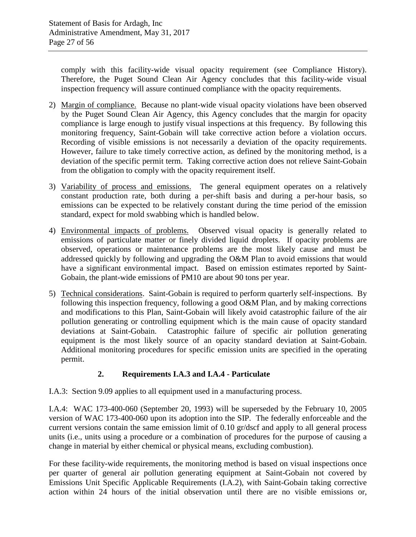comply with this facility-wide visual opacity requirement (see [Compliance History\)](#page-6-0). Therefore, the Puget Sound Clean Air Agency concludes that this facility-wide visual inspection frequency will assure continued compliance with the opacity requirements.

- 2) Margin of compliance. Because no plant-wide visual opacity violations have been observed by the Puget Sound Clean Air Agency, this Agency concludes that the margin for opacity compliance is large enough to justify visual inspections at this frequency. By following this monitoring frequency, Saint-Gobain will take corrective action before a violation occurs. Recording of visible emissions is not necessarily a deviation of the opacity requirements. However, failure to take timely corrective action, as defined by the monitoring method, is a deviation of the specific permit term. Taking corrective action does not relieve Saint-Gobain from the obligation to comply with the opacity requirement itself.
- 3) Variability of process and emissions. The general equipment operates on a relatively constant production rate, both during a per-shift basis and during a per-hour basis, so emissions can be expected to be relatively constant during the time period of the emission standard, expect for mold swabbing which is handled below.
- 4) Environmental impacts of problems. Observed visual opacity is generally related to emissions of particulate matter or finely divided liquid droplets. If opacity problems are observed, operations or maintenance problems are the most likely cause and must be addressed quickly by following and upgrading the O&M Plan to avoid emissions that would have a significant environmental impact. Based on emission estimates reported by Saint-Gobain, the plant-wide emissions of PM10 are about 90 tons per year.
- 5) Technical considerations. Saint-Gobain is required to perform quarterly self-inspections. By following this inspection frequency, following a good O&M Plan, and by making corrections and modifications to this Plan, Saint-Gobain will likely avoid catastrophic failure of the air pollution generating or controlling equipment which is the main cause of opacity standard deviations at Saint-Gobain. Catastrophic failure of specific air pollution generating equipment is the most likely source of an opacity standard deviation at Saint-Gobain. Additional monitoring procedures for specific emission units are specified in the operating permit.

## **2. Requirements I.A.3 and I.A.4 - Particulate**

I.A.3: Section 9.09 applies to all equipment used in a manufacturing process.

I.A.4: WAC 173-400-060 (September 20, 1993) will be superseded by the February 10, 2005 version of WAC 173-400-060 upon its adoption into the SIP. The federally enforceable and the current versions contain the same emission limit of 0.10 gr/dscf and apply to all general process units (i.e., units using a procedure or a combination of procedures for the purpose of causing a change in material by either chemical or physical means, excluding combustion).

For these facility-wide requirements, the monitoring method is based on visual inspections once per quarter of general air pollution generating equipment at Saint-Gobain not covered by Emissions Unit Specific Applicable Requirements (I.A.2), with Saint-Gobain taking corrective action within 24 hours of the initial observation until there are no visible emissions or,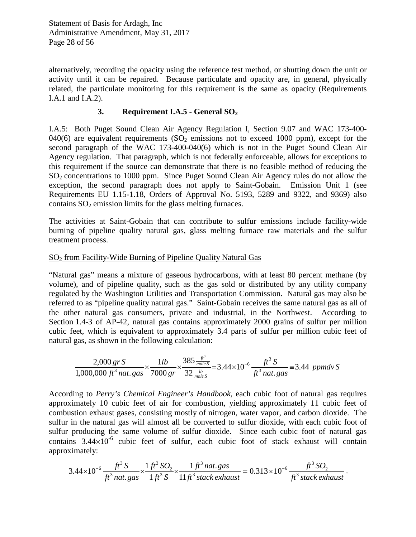alternatively, recording the opacity using the reference test method, or shutting down the unit or activity until it can be repaired. Because particulate and opacity are, in general, physically related, the particulate monitoring for this requirement is the same as opacity (Requirements I.A.1 and I.A.2).

## **3. Requirement I.A.5 - General SO2**

I.A.5: Both Puget Sound Clean Air Agency Regulation I, Section 9.07 and WAC 173-400- 040(6) are equivalent requirements  $(SO<sub>2</sub>$  emissions not to exceed 1000 ppm), except for the second paragraph of the WAC 173-400-040(6) which is not in the Puget Sound Clean Air Agency regulation. That paragraph, which is not federally enforceable, allows for exceptions to this requirement if the source can demonstrate that there is no feasible method of reducing the  $SO<sub>2</sub>$  concentrations to 1000 ppm. Since Puget Sound Clean Air Agency rules do not allow the exception, the second paragraph does not apply to Saint-Gobain. Emission Unit 1 (see Requirements EU 1.15-1.18, Orders of Approval No. 5193, 5289 and 9322, and 9369) also contains  $SO<sub>2</sub>$  emission limits for the glass melting furnaces.

The activities at Saint-Gobain that can contribute to sulfur emissions include facility-wide burning of pipeline quality natural gas, glass melting furnace raw materials and the sulfur treatment process.

## SO2 from Facility-Wide Burning of Pipeline Quality Natural Gas

"Natural gas" means a mixture of gaseous hydrocarbons, with at least 80 percent methane (by volume), and of pipeline quality, such as the gas sold or distributed by any utility company regulated by the Washington Utilities and Transportation Commission. Natural gas may also be referred to as "pipeline quality natural gas." Saint-Gobain receives the same natural gas as all of the other natural gas consumers, private and industrial, in the Northwest. According to Section 1.4-3 of AP-42, natural gas contains approximately 2000 grains of sulfur per million cubic feet, which is equivalent to approximately 3.4 parts of sulfur per million cubic feet of natural gas, as shown in the following calculation:

$$
\frac{2,000 \text{ gr S}}{1,000,000 \text{ ft}^3 \text{ nat. gas}} \times \frac{1 \text{ lb}}{7000 \text{ gr}} \times \frac{385 \frac{\text{ft}^3}{\text{moles}}}{32 \frac{\text{lb}}{\text{moles}}} = 3.44 \times 10^{-6} \frac{\text{ft}^3 \text{ S}}{\text{ft}^3 \text{ nat. gas}} = 3.44 \text{ ppmdv S}
$$

According to *Perry's Chemical Engineer's Handbook*, each cubic foot of natural gas requires approximately 10 cubic feet of air for combustion, yielding approximately 11 cubic feet of combustion exhaust gases, consisting mostly of nitrogen, water vapor, and carbon dioxide. The sulfur in the natural gas will almost all be converted to sulfur dioxide, with each cubic foot of sulfur producing the same volume of sulfur dioxide. Since each cubic foot of natural gas contains  $3.44 \times 10^{-6}$  cubic feet of sulfur, each cubic foot of stack exhaust will contain approximately:

$$
3.44 \times 10^{-6} \frac{ft^3 S}{ft^3 n at. gas} \times \frac{1 ft^3 SO_2}{1 ft^3 S} \times \frac{1 ft^3 n at. gas}{11 ft^3 stack exhaust} = 0.313 \times 10^{-6} \frac{ft^3 SO_2}{ft^3 stack exhaust}.
$$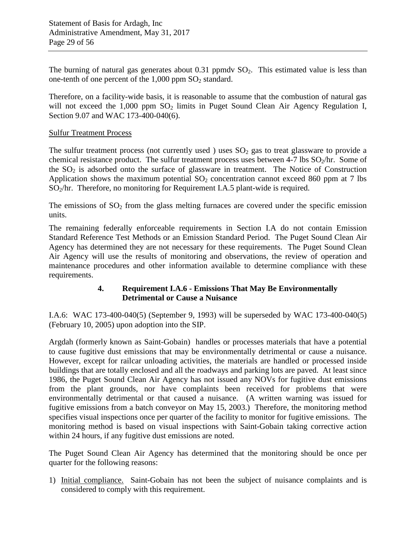The burning of natural gas generates about  $0.31$  ppmdv  $SO<sub>2</sub>$ . This estimated value is less than one-tenth of one percent of the  $1,000$  ppm  $SO<sub>2</sub>$  standard.

Therefore, on a facility-wide basis, it is reasonable to assume that the combustion of natural gas will not exceed the  $1,000$  ppm  $SO<sub>2</sub>$  limits in Puget Sound Clean Air Agency Regulation I, Section 9.07 and WAC 173-400-040(6).

#### Sulfur Treatment Process

The sulfur treatment process (not currently used) uses  $SO_2$  gas to treat glassware to provide a chemical resistance product. The sulfur treatment process uses between 4-7 lbs  $SO_2$ /hr. Some of the  $SO<sub>2</sub>$  is adsorbed onto the surface of glassware in treatment. The Notice of Construction Application shows the maximum potential  $SO_2$  concentration cannot exceed 860 ppm at 7 lbs  $SO_2$ /hr. Therefore, no monitoring for Requirement I.A.5 plant-wide is required.

The emissions of  $SO<sub>2</sub>$  from the glass melting furnaces are covered under the specific emission units.

The remaining federally enforceable requirements in Section I.A do not contain Emission Standard Reference Test Methods or an Emission Standard Period. The Puget Sound Clean Air Agency has determined they are not necessary for these requirements. The Puget Sound Clean Air Agency will use the results of monitoring and observations, the review of operation and maintenance procedures and other information available to determine compliance with these requirements.

## **4. Requirement I.A.6 - Emissions That May Be Environmentally Detrimental or Cause a Nuisance**

I.A.6: WAC 173-400-040(5) (September 9, 1993) will be superseded by WAC 173-400-040(5) (February 10, 2005) upon adoption into the SIP.

Argdah (formerly known as Saint-Gobain) handles or processes materials that have a potential to cause fugitive dust emissions that may be environmentally detrimental or cause a nuisance. However, except for railcar unloading activities, the materials are handled or processed inside buildings that are totally enclosed and all the roadways and parking lots are paved. At least since 1986, the Puget Sound Clean Air Agency has not issued any NOVs for fugitive dust emissions from the plant grounds, nor have complaints been received for problems that were environmentally detrimental or that caused a nuisance. (A written warning was issued for fugitive emissions from a batch conveyor on May 15, 2003.) Therefore, the monitoring method specifies visual inspections once per quarter of the facility to monitor for fugitive emissions. The monitoring method is based on visual inspections with Saint-Gobain taking corrective action within 24 hours, if any fugitive dust emissions are noted.

The Puget Sound Clean Air Agency has determined that the monitoring should be once per quarter for the following reasons:

1) Initial compliance. Saint-Gobain has not been the subject of nuisance complaints and is considered to comply with this requirement.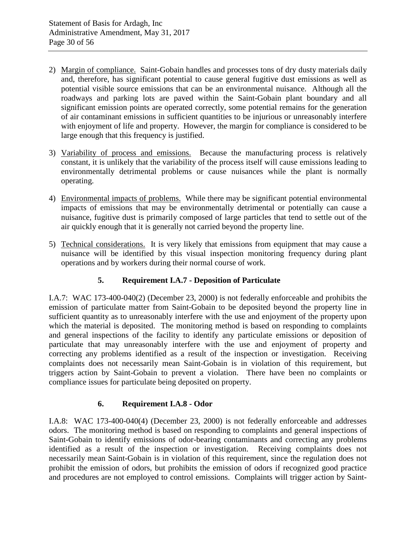- 2) Margin of compliance. Saint-Gobain handles and processes tons of dry dusty materials daily and, therefore, has significant potential to cause general fugitive dust emissions as well as potential visible source emissions that can be an environmental nuisance. Although all the roadways and parking lots are paved within the Saint-Gobain plant boundary and all significant emission points are operated correctly, some potential remains for the generation of air contaminant emissions in sufficient quantities to be injurious or unreasonably interfere with enjoyment of life and property. However, the margin for compliance is considered to be large enough that this frequency is justified.
- 3) Variability of process and emissions. Because the manufacturing process is relatively constant, it is unlikely that the variability of the process itself will cause emissions leading to environmentally detrimental problems or cause nuisances while the plant is normally operating.
- 4) Environmental impacts of problems. While there may be significant potential environmental impacts of emissions that may be environmentally detrimental or potentially can cause a nuisance, fugitive dust is primarily composed of large particles that tend to settle out of the air quickly enough that it is generally not carried beyond the property line.
- 5) Technical considerations. It is very likely that emissions from equipment that may cause a nuisance will be identified by this visual inspection monitoring frequency during plant operations and by workers during their normal course of work.

## **5. Requirement I.A.7 - Deposition of Particulate**

I.A.7: WAC 173-400-040(2) (December 23, 2000) is not federally enforceable and prohibits the emission of particulate matter from Saint-Gobain to be deposited beyond the property line in sufficient quantity as to unreasonably interfere with the use and enjoyment of the property upon which the material is deposited. The monitoring method is based on responding to complaints and general inspections of the facility to identify any particulate emissions or deposition of particulate that may unreasonably interfere with the use and enjoyment of property and correcting any problems identified as a result of the inspection or investigation. Receiving complaints does not necessarily mean Saint-Gobain is in violation of this requirement, but triggers action by Saint-Gobain to prevent a violation. There have been no complaints or compliance issues for particulate being deposited on property.

## **6. Requirement I.A.8 - Odor**

I.A.8: WAC 173-400-040(4) (December 23, 2000) is not federally enforceable and addresses odors. The monitoring method is based on responding to complaints and general inspections of Saint-Gobain to identify emissions of odor-bearing contaminants and correcting any problems identified as a result of the inspection or investigation. Receiving complaints does not necessarily mean Saint-Gobain is in violation of this requirement, since the regulation does not prohibit the emission of odors, but prohibits the emission of odors if recognized good practice and procedures are not employed to control emissions. Complaints will trigger action by Saint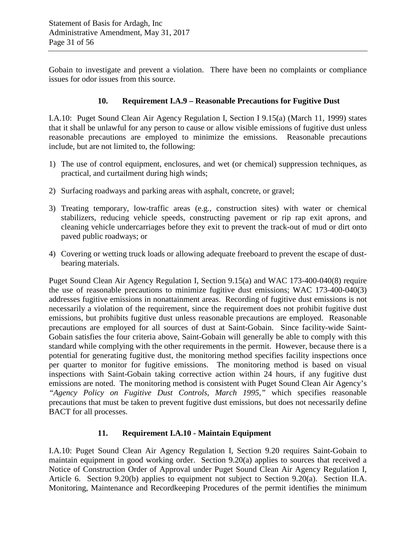Gobain to investigate and prevent a violation. There have been no complaints or compliance issues for odor issues from this source.

#### **10. Requirement I.A.9 – Reasonable Precautions for Fugitive Dust**

I.A.10: Puget Sound Clean Air Agency Regulation I, Section I 9.15(a) (March 11, 1999) states that it shall be unlawful for any person to cause or allow visible emissions of fugitive dust unless reasonable precautions are employed to minimize the emissions. Reasonable precautions include, but are not limited to, the following:

- 1) The use of control equipment, enclosures, and wet (or chemical) suppression techniques, as practical, and curtailment during high winds;
- 2) Surfacing roadways and parking areas with asphalt, concrete, or gravel;
- 3) Treating temporary, low-traffic areas (e.g., construction sites) with water or chemical stabilizers, reducing vehicle speeds, constructing pavement or rip rap exit aprons, and cleaning vehicle undercarriages before they exit to prevent the track-out of mud or dirt onto paved public roadways; or
- 4) Covering or wetting truck loads or allowing adequate freeboard to prevent the escape of dustbearing materials.

Puget Sound Clean Air Agency Regulation I, Section 9.15(a) and WAC 173-400-040(8) require the use of reasonable precautions to minimize fugitive dust emissions; WAC 173-400-040(3) addresses fugitive emissions in nonattainment areas. Recording of fugitive dust emissions is not necessarily a violation of the requirement, since the requirement does not prohibit fugitive dust emissions, but prohibits fugitive dust unless reasonable precautions are employed. Reasonable precautions are employed for all sources of dust at Saint-Gobain. Since facility-wide Saint-Gobain satisfies the four criteria above, Saint-Gobain will generally be able to comply with this standard while complying with the other requirements in the permit. However, because there is a potential for generating fugitive dust, the monitoring method specifies facility inspections once per quarter to monitor for fugitive emissions. The monitoring method is based on visual inspections with Saint-Gobain taking corrective action within 24 hours, if any fugitive dust emissions are noted. The monitoring method is consistent with Puget Sound Clean Air Agency's *"Agency Policy on Fugitive Dust Controls, March 1995,"* which specifies reasonable precautions that must be taken to prevent fugitive dust emissions, but does not necessarily define BACT for all processes.

#### **11. Requirement I.A.10 - Maintain Equipment**

I.A.10: Puget Sound Clean Air Agency Regulation I, Section 9.20 requires Saint-Gobain to maintain equipment in good working order. Section 9.20(a) applies to sources that received a Notice of Construction Order of Approval under Puget Sound Clean Air Agency Regulation I, Article 6. Section 9.20(b) applies to equipment not subject to Section 9.20(a). Section II.A. Monitoring, Maintenance and Recordkeeping Procedures of the permit identifies the minimum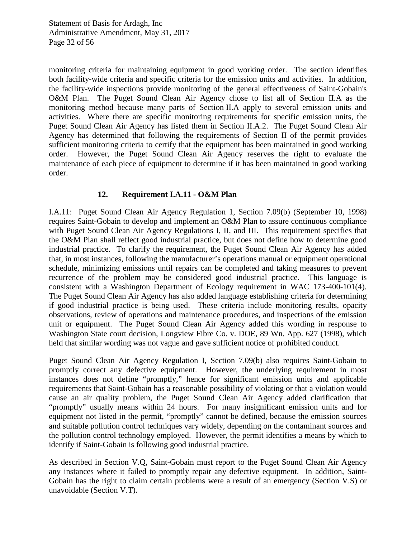monitoring criteria for maintaining equipment in good working order. The section identifies both facility-wide criteria and specific criteria for the emission units and activities. In addition, the facility-wide inspections provide monitoring of the general effectiveness of Saint-Gobain's O&M Plan. The Puget Sound Clean Air Agency chose to list all of Section II.A as the monitoring method because many parts of Section II.A apply to several emission units and activities. Where there are specific monitoring requirements for specific emission units, the Puget Sound Clean Air Agency has listed them in Section II.A.2. The Puget Sound Clean Air Agency has determined that following the requirements of Section II of the permit provides sufficient monitoring criteria to certify that the equipment has been maintained in good working order. However, the Puget Sound Clean Air Agency reserves the right to evaluate the maintenance of each piece of equipment to determine if it has been maintained in good working order.

## **12. Requirement I.A.11 - O&M Plan**

I.A.11: Puget Sound Clean Air Agency Regulation 1, Section 7.09(b) (September 10, 1998) requires Saint-Gobain to develop and implement an O&M Plan to assure continuous compliance with Puget Sound Clean Air Agency Regulations I, II, and III. This requirement specifies that the O&M Plan shall reflect good industrial practice, but does not define how to determine good industrial practice. To clarify the requirement, the Puget Sound Clean Air Agency has added that, in most instances, following the manufacturer's operations manual or equipment operational schedule, minimizing emissions until repairs can be completed and taking measures to prevent recurrence of the problem may be considered good industrial practice. This language is consistent with a Washington Department of Ecology requirement in WAC 173-400-101(4). The Puget Sound Clean Air Agency has also added language establishing criteria for determining if good industrial practice is being used. These criteria include monitoring results, opacity observations, review of operations and maintenance procedures, and inspections of the emission unit or equipment. The Puget Sound Clean Air Agency added this wording in response to Washington State court decision, Longview Fibre Co. v. DOE, 89 Wn. App. 627 (1998), which held that similar wording was not vague and gave sufficient notice of prohibited conduct.

Puget Sound Clean Air Agency Regulation I, Section 7.09(b) also requires Saint-Gobain to promptly correct any defective equipment. However, the underlying requirement in most instances does not define "promptly," hence for significant emission units and applicable requirements that Saint-Gobain has a reasonable possibility of violating or that a violation would cause an air quality problem, the Puget Sound Clean Air Agency added clarification that "promptly" usually means within 24 hours. For many insignificant emission units and for equipment not listed in the permit, "promptly" cannot be defined, because the emission sources and suitable pollution control techniques vary widely, depending on the contaminant sources and the pollution control technology employed. However, the permit identifies a means by which to identify if Saint-Gobain is following good industrial practice.

As described in Section V.Q, Saint-Gobain must report to the Puget Sound Clean Air Agency any instances where it failed to promptly repair any defective equipment. In addition, Saint-Gobain has the right to claim certain problems were a result of an emergency (Section V.S) or unavoidable (Section V.T).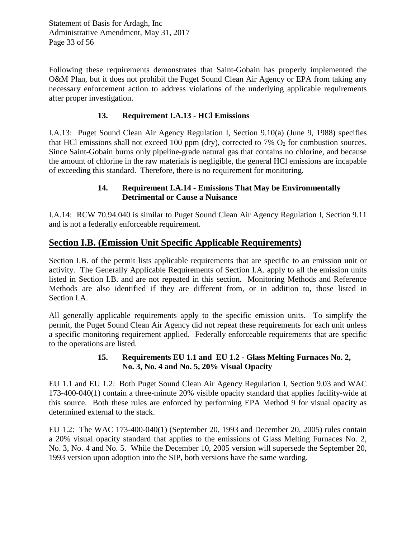Following these requirements demonstrates that Saint-Gobain has properly implemented the O&M Plan, but it does not prohibit the Puget Sound Clean Air Agency or EPA from taking any necessary enforcement action to address violations of the underlying applicable requirements after proper investigation.

## **13. Requirement I.A.13 - HCl Emissions**

I.A.13: Puget Sound Clean Air Agency Regulation I, Section 9.10(a) (June 9, 1988) specifies that HCl emissions shall not exceed 100 ppm (dry), corrected to 7%  $O_2$  for combustion sources. Since Saint-Gobain burns only pipeline-grade natural gas that contains no chlorine, and because the amount of chlorine in the raw materials is negligible, the general HCl emissions are incapable of exceeding this standard. Therefore, there is no requirement for monitoring.

## **14. Requirement I.A.14 - Emissions That May be Environmentally Detrimental or Cause a Nuisance**

I.A.14: RCW 70.94.040 is similar to Puget Sound Clean Air Agency Regulation I, Section 9.11 and is not a federally enforceable requirement.

## **Section I.B. (Emission Unit Specific Applicable Requirements)**

Section I.B. of the permit lists applicable requirements that are specific to an emission unit or activity. The Generally Applicable Requirements of Section I.A. apply to all the emission units listed in Section I.B. and are not repeated in this section. Monitoring Methods and Reference Methods are also identified if they are different from, or in addition to, those listed in Section I.A.

All generally applicable requirements apply to the specific emission units. To simplify the permit, the Puget Sound Clean Air Agency did not repeat these requirements for each unit unless a specific monitoring requirement applied. Federally enforceable requirements that are specific to the operations are listed.

#### **15. Requirements EU 1.1 and EU 1.2 - Glass Melting Furnaces No. 2, No. 3, No. 4 and No. 5, 20% Visual Opacity**

EU 1.1 and EU 1.2: Both Puget Sound Clean Air Agency Regulation I, Section 9.03 and WAC 173-400-040(1) contain a three-minute 20% visible opacity standard that applies facility-wide at this source. Both these rules are enforced by performing EPA Method 9 for visual opacity as determined external to the stack.

EU 1.2: The WAC 173-400-040(1) (September 20, 1993 and December 20, 2005) rules contain a 20% visual opacity standard that applies to the emissions of Glass Melting Furnaces No. 2, No. 3, No. 4 and No. 5. While the December 10, 2005 version will supersede the September 20, 1993 version upon adoption into the SIP, both versions have the same wording.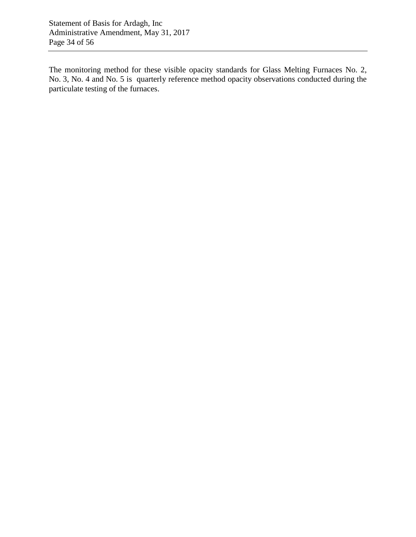Statement of Basis for Ardagh, Inc Administrative Amendment, May 31, 2017 Page 34 of 56

The monitoring method for these visible opacity standards for Glass Melting Furnaces No. 2, No. 3, No. 4 and No. 5 is quarterly reference method opacity observations conducted during the particulate testing of the furnaces.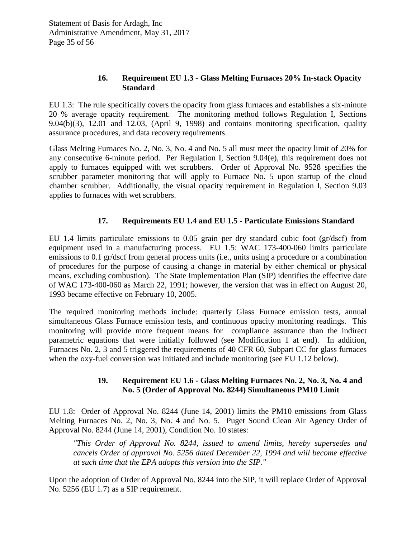## **16. Requirement EU 1.3 - Glass Melting Furnaces 20% In-stack Opacity Standard**

EU 1.3: The rule specifically covers the opacity from glass furnaces and establishes a six-minute 20 % average opacity requirement. The monitoring method follows Regulation I, Sections 9.04(b)(3), 12.01 and 12.03, (April 9, 1998) and contains monitoring specification, quality assurance procedures, and data recovery requirements.

Glass Melting Furnaces No. 2, No. 3, No. 4 and No. 5 all must meet the opacity limit of 20% for any consecutive 6-minute period. Per Regulation I, Section 9.04(e), this requirement does not apply to furnaces equipped with wet scrubbers. Order of Approval No. 9528 specifies the scrubber parameter monitoring that will apply to Furnace No. 5 upon startup of the cloud chamber scrubber. Additionally, the visual opacity requirement in Regulation I, Section 9.03 applies to furnaces with wet scrubbers.

## **17. Requirements EU 1.4 and EU 1.5 - Particulate Emissions Standard**

EU 1.4 limits particulate emissions to 0.05 grain per dry standard cubic foot (gr/dscf) from equipment used in a manufacturing process. EU 1.5: WAC 173-400-060 limits particulate emissions to 0.1 gr/dscf from general process units (i.e., units using a procedure or a combination of procedures for the purpose of causing a change in material by either chemical or physical means, excluding combustion). The State Implementation Plan (SIP) identifies the effective date of WAC 173-400-060 as March 22, 1991; however, the version that was in effect on August 20, 1993 became effective on February 10, 2005.

The required monitoring methods include: quarterly Glass Furnace emission tests, annual simultaneous Glass Furnace emission tests, and continuous opacity monitoring readings. This monitoring will provide more frequent means for compliance assurance than the indirect parametric equations that were initially followed (see Modification 1 at end). In addition, Furnaces No. 2, 3 and 5 triggered the requirements of 40 CFR 60, Subpart CC for glass furnaces when the oxy-fuel conversion was initiated and include monitoring (see EU 1.12 below).

## **19. Requirement EU 1.6 - Glass Melting Furnaces No. 2, No. 3, No. 4 and No. 5 (Order of Approval No. 8244) Simultaneous PM10 Limit**

EU 1.8: Order of Approval No. 8244 (June 14, 2001) limits the PM10 emissions from Glass Melting Furnaces No. 2, No. 3, No. 4 and No. 5. Puget Sound Clean Air Agency Order of Approval No. 8244 (June 14, 2001), Condition No. 10 states:

*"This Order of Approval No. 8244, issued to amend limits, hereby supersedes and cancels Order of approval No. 5256 dated December 22, 1994 and will become effective at such time that the EPA adopts this version into the SIP."*

Upon the adoption of Order of Approval No. 8244 into the SIP, it will replace Order of Approval No. 5256 (EU 1.7) as a SIP requirement.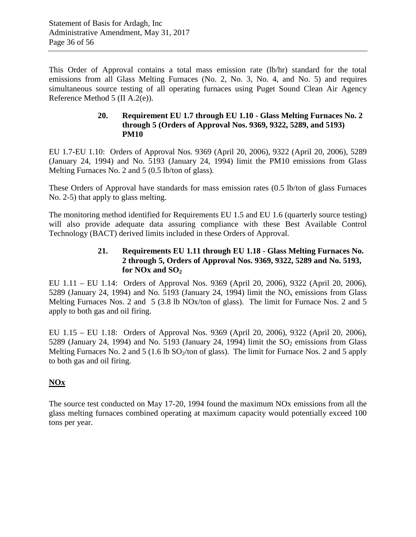This Order of Approval contains a total mass emission rate (lb/hr) standard for the total emissions from all Glass Melting Furnaces (No. 2, No. 3, No. 4, and No. 5) and requires simultaneous source testing of all operating furnaces using Puget Sound Clean Air Agency Reference Method 5 (II A.2(e)).

#### **20. Requirement EU 1.7 through EU 1.10 - Glass Melting Furnaces No. 2 through 5 (Orders of Approval Nos. 9369, 9322, 5289, and 5193) PM10**

EU 1.7-EU 1.10: Orders of Approval Nos. 9369 (April 20, 2006), 9322 (April 20, 2006), 5289 (January 24, 1994) and No. 5193 (January 24, 1994) limit the PM10 emissions from Glass Melting Furnaces No. 2 and 5 (0.5 lb/ton of glass).

These Orders of Approval have standards for mass emission rates (0.5 lb/ton of glass Furnaces No. 2-5) that apply to glass melting.

The monitoring method identified for Requirements EU 1.5 and EU 1.6 (quarterly source testing) will also provide adequate data assuring compliance with these Best Available Control Technology (BACT) derived limits included in these Orders of Approval.

## **21. Requirements EU 1.11 through EU 1.18 - Glass Melting Furnaces No. 2 through 5, Orders of Approval Nos. 9369, 9322, 5289 and No. 5193,**  for  $NOx$  and  $SO<sub>2</sub>$

EU 1.11 – EU 1.14: Orders of Approval Nos. 9369 (April 20, 2006), 9322 (April 20, 2006), 5289 (January 24, 1994) and No. 5193 (January 24, 1994) limit the  $NO<sub>x</sub>$  emissions from Glass Melting Furnaces Nos. 2 and 5 (3.8 lb NOx/ton of glass). The limit for Furnace Nos. 2 and 5 apply to both gas and oil firing.

EU 1.15 – EU 1.18: Orders of Approval Nos. 9369 (April 20, 2006), 9322 (April 20, 2006), 5289 (January 24, 1994) and No. 5193 (January 24, 1994) limit the  $SO<sub>2</sub>$  emissions from Glass Melting Furnaces No. 2 and 5 (1.6 lb  $SO_2$ /ton of glass). The limit for Furnace Nos. 2 and 5 apply to both gas and oil firing.

## **NOx**

The source test conducted on May 17-20, 1994 found the maximum NOx emissions from all the glass melting furnaces combined operating at maximum capacity would potentially exceed 100 tons per year.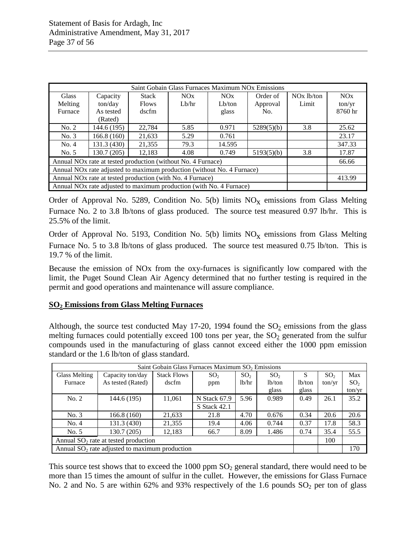|                                                                          | Saint Gobain Glass Furnaces Maximum NOx Emissions                                  |              |       |           |            |              |         |
|--------------------------------------------------------------------------|------------------------------------------------------------------------------------|--------------|-------|-----------|------------|--------------|---------|
| <b>Glass</b>                                                             | Capacity                                                                           | <b>Stack</b> | NOx   | NOx       | Order of   | $NOx$ lb/ton | NOx     |
| Melting                                                                  | ton/day                                                                            | <b>Flows</b> | Lb/hr | $Lb$ /ton | Approval   | Limit        | ton/yr  |
| Furnace                                                                  | As tested                                                                          | dscfm        |       | glass     | No.        |              | 8760 hr |
|                                                                          | (Rated)                                                                            |              |       |           |            |              |         |
| No. 2                                                                    | 144.6 (195)                                                                        | 22,784       | 5.85  | 0.971     | 5289(5)(b) | 3.8          | 25.62   |
| No. 3                                                                    | 166.8(160)                                                                         | 21,633       | 5.29  | 0.761     |            |              | 23.17   |
| No. 4                                                                    | 131.3 (430)                                                                        | 21.355       | 79.3  | 14.595    |            |              | 347.33  |
| No. 5                                                                    | 130.7 (205)                                                                        | 12,183       | 4.08  | 0.749     | 5193(5)(b) | 3.8          | 17.87   |
| Annual NO <sub>x</sub> rate at tested production (without No. 4 Furnace) |                                                                                    |              |       |           |            |              | 66.66   |
|                                                                          | Annual NO <sub>x</sub> rate adjusted to maximum production (without No. 4 Furnace) |              |       |           |            |              |         |
| Annual NO <sub>x</sub> rate at tested production (with No. 4 Furnace)    |                                                                                    |              |       |           |            |              | 413.99  |
|                                                                          | Annual NO <sub>x</sub> rate adjusted to maximum production (with No. 4 Furnace)    |              |       |           |            |              |         |

Order of Approval No. 5289, Condition No. 5(b) limits  $NO<sub>x</sub>$  emissions from Glass Melting Furnace No. 2 to 3.8 lb/tons of glass produced. The source test measured 0.97 lb/hr. This is 25.5% of the limit.

Order of Approval No. 5193, Condition No. 5(b) limits  $NO<sub>x</sub>$  emissions from Glass Melting Furnace No. 5 to 3.8 lb/tons of glass produced. The source test measured 0.75 lb/ton. This is 19.7 % of the limit.

Because the emission of NOx from the oxy-furnaces is significantly low compared with the limit, the Puget Sound Clean Air Agency determined that no further testing is required in the permit and good operations and maintenance will assure compliance.

## **SO2 Emissions from Glass Melting Furnaces**

Although, the source test conducted May 17-20, 1994 found the  $SO_2$  emissions from the glass melting furnaces could potentially exceed  $100$  tons per year, the  $SO<sub>2</sub>$  generated from the sulfur compounds used in the manufacturing of glass cannot exceed either the 1000 ppm emission standard or the 1.6 lb/ton of glass standard.

| Saint Gobain Glass Furnaces Maximum SO <sub>2</sub> Emissions |                                                                |                    |                     |                 |                 |        |                 |                 |
|---------------------------------------------------------------|----------------------------------------------------------------|--------------------|---------------------|-----------------|-----------------|--------|-----------------|-----------------|
| <b>Glass Melting</b>                                          | Capacity ton/day                                               | <b>Stack Flows</b> | SO <sub>2</sub>     | SO <sub>2</sub> | SO <sub>2</sub> | S      | SO <sub>2</sub> | Max             |
| Furnace                                                       | As tested (Rated)                                              | dscfm              | ppm                 | lb/hr           | lb/ton          | lb/ton | ton/yr          | SO <sub>2</sub> |
|                                                               |                                                                |                    |                     |                 | glass           | glass  |                 | ton/yr          |
| No. 2                                                         | 144.6 (195)                                                    | 11,061             | N Stack 67.9        | 5.96            | 0.989           | 0.49   | 26.1            | 35.2            |
|                                                               |                                                                |                    | <b>S</b> Stack 42.1 |                 |                 |        |                 |                 |
| No. 3                                                         | 166.8 (160)                                                    | 21,633             | 21.8                | 4.70            | 0.676           | 0.34   | 20.6            | 20.6            |
| No. 4                                                         | 131.3 (430)                                                    | 21,355             | 19.4                | 4.06            | 0.744           | 0.37   | 17.8            | 58.3            |
| No. 5                                                         | 130.7 (205)<br>8.09<br>35.4<br>0.74<br>12,183<br>1.486<br>66.7 |                    |                     |                 |                 |        | 55.5            |                 |
| Annual $SO_2$ rate at tested production                       |                                                                |                    |                     |                 |                 |        | 100             |                 |
|                                                               | Annual $SO2$ rate adjusted to maximum production               |                    |                     |                 |                 |        |                 | 170             |

This source test shows that to exceed the 1000 ppm  $SO<sub>2</sub>$  general standard, there would need to be more than 15 times the amount of sulfur in the cullet. However, the emissions for Glass Furnace No. 2 and No. 5 are within 62% and 93% respectively of the 1.6 pounds  $SO_2$  per ton of glass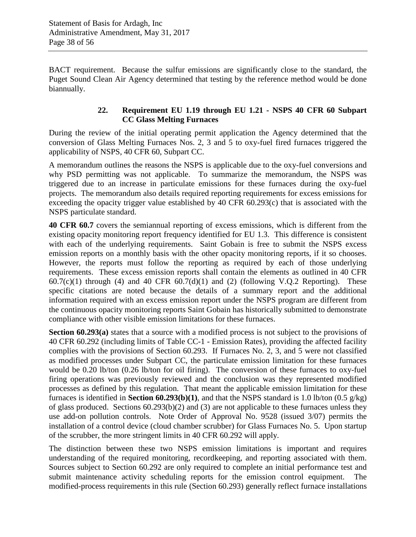BACT requirement. Because the sulfur emissions are significantly close to the standard, the Puget Sound Clean Air Agency determined that testing by the reference method would be done biannually.

## **22. Requirement EU 1.19 through EU 1.21 - NSPS 40 CFR 60 Subpart CC Glass Melting Furnaces**

During the review of the initial operating permit application the Agency determined that the conversion of Glass Melting Furnaces Nos. 2, 3 and 5 to oxy-fuel fired furnaces triggered the applicability of NSPS, 40 CFR 60, Subpart CC.

A memorandum outlines the reasons the NSPS is applicable due to the oxy-fuel conversions and why PSD permitting was not applicable. To summarize the memorandum, the NSPS was triggered due to an increase in particulate emissions for these furnaces during the oxy-fuel projects. The memorandum also details required reporting requirements for excess emissions for exceeding the opacity trigger value established by 40 CFR 60.293(c) that is associated with the NSPS particulate standard.

**40 CFR 60.7** covers the semiannual reporting of excess emissions, which is different from the existing opacity monitoring report frequency identified for EU 1.3. This difference is consistent with each of the underlying requirements. Saint Gobain is free to submit the NSPS excess emission reports on a monthly basis with the other opacity monitoring reports, if it so chooses. However, the reports must follow the reporting as required by each of those underlying requirements. These excess emission reports shall contain the elements as outlined in 40 CFR  $60.7(c)(1)$  through (4) and 40 CFR  $60.7(d)(1)$  and (2) (following V.Q.2 Reporting). These specific citations are noted because the details of a summary report and the additional information required with an excess emission report under the NSPS program are different from the continuous opacity monitoring reports Saint Gobain has historically submitted to demonstrate compliance with other visible emission limitations for these furnaces.

**Section 60.293(a)** states that a source with a modified process is not subject to the provisions of 40 CFR 60.292 (including limits of Table CC-1 - Emission Rates), providing the affected facility complies with the provisions of Section 60.293. If Furnaces No. 2, 3, and 5 were not classified as modified processes under Subpart CC, the particulate emission limitation for these furnaces would be 0.20 lb/ton (0.26 lb/ton for oil firing). The conversion of these furnaces to oxy-fuel firing operations was previously reviewed and the conclusion was they represented modified processes as defined by this regulation. That meant the applicable emission limitation for these furnaces is identified in **Section 60.293(b)(1)**, and that the NSPS standard is 1.0 lb/ton (0.5 g/kg) of glass produced. Sections 60.293(b)(2) and (3) are not applicable to these furnaces unless they use add-on pollution controls. Note Order of Approval No. 9528 (issued 3/07) permits the installation of a control device (cloud chamber scrubber) for Glass Furnaces No. 5. Upon startup of the scrubber, the more stringent limits in 40 CFR 60.292 will apply.

The distinction between these two NSPS emission limitations is important and requires understanding of the required monitoring, recordkeeping, and reporting associated with them. Sources subject to Section 60.292 are only required to complete an initial performance test and submit maintenance activity scheduling reports for the emission control equipment. The modified-process requirements in this rule (Section 60.293) generally reflect furnace installations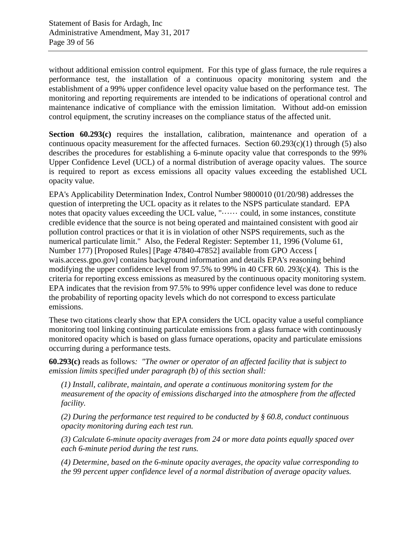without additional emission control equipment. For this type of glass furnace, the rule requires a performance test, the installation of a continuous opacity monitoring system and the establishment of a 99% upper confidence level opacity value based on the performance test. The monitoring and reporting requirements are intended to be indications of operational control and maintenance indicative of compliance with the emission limitation. Without add-on emission control equipment, the scrutiny increases on the compliance status of the affected unit.

**Section 60.293(c)** requires the installation, calibration, maintenance and operation of a continuous opacity measurement for the affected furnaces. Section  $60.293(c)(1)$  through (5) also describes the procedures for establishing a 6-minute opacity value that corresponds to the 99% Upper Confidence Level (UCL) of a normal distribution of average opacity values. The source is required to report as excess emissions all opacity values exceeding the established UCL opacity value.

EPA's Applicability Determination Index, Control Number 9800010 (01/20/98) addresses the question of interpreting the UCL opacity as it relates to the NSPS particulate standard. EPA notes that opacity values exceeding the UCL value, "······ could, in some instances, constitute credible evidence that the source is not being operated and maintained consistent with good air pollution control practices or that it is in violation of other NSPS requirements, such as the numerical particulate limit." Also, the Federal Register: September 11, 1996 (Volume 61, Number 177) [Proposed Rules] [Page 47840-47852] available from GPO Access [ wais.access.gpo.gov] contains background information and details EPA's reasoning behind modifying the upper confidence level from 97.5% to 99% in 40 CFR 60. 293(c)(4). This is the criteria for reporting excess emissions as measured by the continuous opacity monitoring system. EPA indicates that the revision from 97.5% to 99% upper confidence level was done to reduce the probability of reporting opacity levels which do not correspond to excess particulate emissions.

These two citations clearly show that EPA considers the UCL opacity value a useful compliance monitoring tool linking continuing particulate emissions from a glass furnace with continuously monitored opacity which is based on glass furnace operations, opacity and particulate emissions occurring during a performance tests.

**60.293(c)** reads as follows*: "The owner or operator of an affected facility that is subject to emission limits specified under paragraph (b) of this section shall:*

*(1) Install, calibrate, maintain, and operate a continuous monitoring system for the measurement of the opacity of emissions discharged into the atmosphere from the affected facility.*

*(2) During the performance test required to be conducted by § 60.8, conduct continuous opacity monitoring during each test run.*

*(3) Calculate 6-minute opacity averages from 24 or more data points equally spaced over each 6-minute period during the test runs.*

*(4) Determine, based on the 6-minute opacity averages, the opacity value corresponding to the 99 percent upper confidence level of a normal distribution of average opacity values.*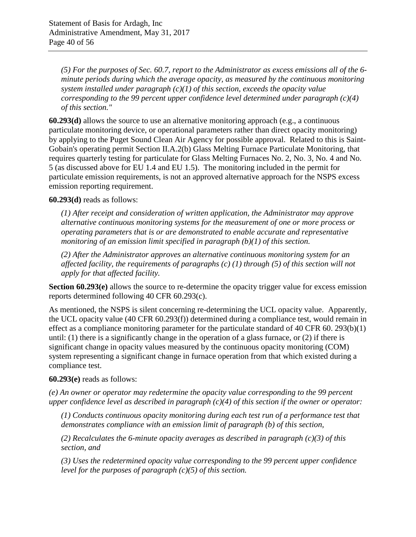*(5) For the purposes of Sec. 60.7, report to the Administrator as excess emissions all of the 6 minute periods during which the average opacity, as measured by the continuous monitoring system installed under paragraph (c)(1) of this section, exceeds the opacity value corresponding to the 99 percent upper confidence level determined under paragraph (c)(4) of this section."*

**60.293(d)** allows the source to use an alternative monitoring approach (e.g., a continuous particulate monitoring device, or operational parameters rather than direct opacity monitoring) by applying to the Puget Sound Clean Air Agency for possible approval. Related to this is Saint-Gobain's operating permit Section II.A.2(b) Glass Melting Furnace Particulate Monitoring, that requires quarterly testing for particulate for Glass Melting Furnaces No. 2, No. 3, No. 4 and No. 5 (as discussed above for EU 1.4 and EU 1.5). The monitoring included in the permit for particulate emission requirements, is not an approved alternative approach for the NSPS excess emission reporting requirement.

**60.293(d)** reads as follows:

*(1) After receipt and consideration of written application, the Administrator may approve alternative continuous monitoring systems for the measurement of one or more process or operating parameters that is or are demonstrated to enable accurate and representative monitoring of an emission limit specified in paragraph (b)(1) of this section.*

*(2) After the Administrator approves an alternative continuous monitoring system for an affected facility, the requirements of paragraphs (c) (1) through (5) of this section will not apply for that affected facility.*

**Section 60.293(e)** allows the source to re-determine the opacity trigger value for excess emission reports determined following 40 CFR 60.293(c).

As mentioned, the NSPS is silent concerning re-determining the UCL opacity value. Apparently, the UCL opacity value (40 CFR 60.293(f)) determined during a compliance test, would remain in effect as a compliance monitoring parameter for the particulate standard of 40 CFR 60. 293(b)(1) until: (1) there is a significantly change in the operation of a glass furnace, or (2) if there is significant change in opacity values measured by the continuous opacity monitoring (COM) system representing a significant change in furnace operation from that which existed during a compliance test.

## **60.293(e)** reads as follows:

*(e) An owner or operator may redetermine the opacity value corresponding to the 99 percent upper confidence level as described in paragraph (c)(4) of this section if the owner or operator:*

*(1) Conducts continuous opacity monitoring during each test run of a performance test that demonstrates compliance with an emission limit of paragraph (b) of this section,*

*(2) Recalculates the 6-minute opacity averages as described in paragraph (c)(3) of this section, and*

*(3) Uses the redetermined opacity value corresponding to the 99 percent upper confidence level for the purposes of paragraph (c)(5) of this section.*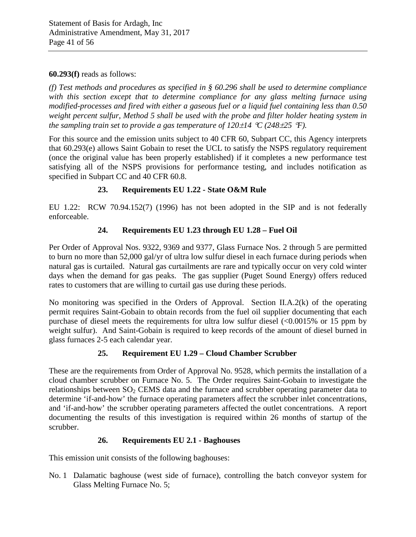#### **60.293(f)** reads as follows:

*(f) Test methods and procedures as specified in § 60.296 shall be used to determine compliance*  with this section except that to determine compliance for any glass melting furnace using *modified-processes and fired with either a gaseous fuel or a liquid fuel containing less than 0.50 weight percent sulfur, Method 5 shall be used with the probe and filter holder heating system in the sampling train set to provide a gas temperature of*  $120\pm14$  *°C (248* $\pm 25$  *°F).* 

For this source and the emission units subject to 40 CFR 60, Subpart CC, this Agency interprets that 60.293(e) allows Saint Gobain to reset the UCL to satisfy the NSPS regulatory requirement (once the original value has been properly established) if it completes a new performance test satisfying all of the NSPS provisions for performance testing, and includes notification as specified in Subpart CC and 40 CFR 60.8.

## **23. Requirements EU 1.22 - State O&M Rule**

EU 1.22: RCW 70.94.152(7) (1996) has not been adopted in the SIP and is not federally enforceable.

## **24. Requirements EU 1.23 through EU 1.28 – Fuel Oil**

Per Order of Approval Nos. 9322, 9369 and 9377, Glass Furnace Nos. 2 through 5 are permitted to burn no more than 52,000 gal/yr of ultra low sulfur diesel in each furnace during periods when natural gas is curtailed. Natural gas curtailments are rare and typically occur on very cold winter days when the demand for gas peaks. The gas supplier (Puget Sound Energy) offers reduced rates to customers that are willing to curtail gas use during these periods.

No monitoring was specified in the Orders of Approval. Section II.A.2(k) of the operating permit requires Saint-Gobain to obtain records from the fuel oil supplier documenting that each purchase of diesel meets the requirements for ultra low sulfur diesel  $\langle 0.0015\%$  or 15 ppm by weight sulfur). And Saint-Gobain is required to keep records of the amount of diesel burned in glass furnaces 2-5 each calendar year.

## **25. Requirement EU 1.29 – Cloud Chamber Scrubber**

These are the requirements from Order of Approval No. 9528, which permits the installation of a cloud chamber scrubber on Furnace No. 5. The Order requires Saint-Gobain to investigate the relationships between  $SO<sub>2</sub>$  CEMS data and the furnace and scrubber operating parameter data to determine 'if-and-how' the furnace operating parameters affect the scrubber inlet concentrations, and 'if-and-how' the scrubber operating parameters affected the outlet concentrations. A report documenting the results of this investigation is required within 26 months of startup of the scrubber.

## **26. Requirements EU 2.1 - Baghouses**

This emission unit consists of the following baghouses:

No. 1 Dalamatic baghouse (west side of furnace), controlling the batch conveyor system for Glass Melting Furnace No. 5;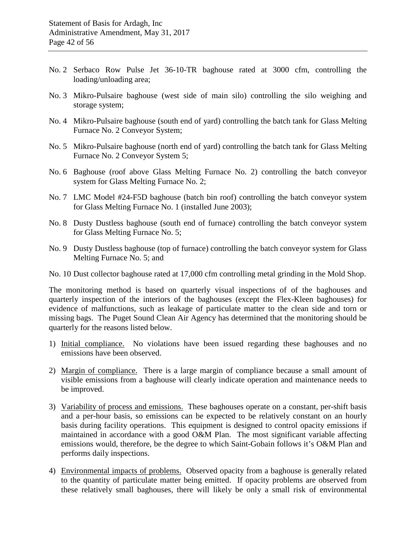- No. 2 Serbaco Row Pulse Jet 36-10-TR baghouse rated at 3000 cfm, controlling the loading/unloading area;
- No. 3 Mikro-Pulsaire baghouse (west side of main silo) controlling the silo weighing and storage system;
- No. 4 Mikro-Pulsaire baghouse (south end of yard) controlling the batch tank for Glass Melting Furnace No. 2 Conveyor System;
- No. 5 Mikro-Pulsaire baghouse (north end of yard) controlling the batch tank for Glass Melting Furnace No. 2 Conveyor System 5;
- No. 6 Baghouse (roof above Glass Melting Furnace No. 2) controlling the batch conveyor system for Glass Melting Furnace No. 2;
- No. 7 LMC Model #24-F5D baghouse (batch bin roof) controlling the batch conveyor system for Glass Melting Furnace No. 1 (installed June 2003);
- No. 8 Dusty Dustless baghouse (south end of furnace) controlling the batch conveyor system for Glass Melting Furnace No. 5;
- No. 9 Dusty Dustless baghouse (top of furnace) controlling the batch conveyor system for Glass Melting Furnace No. 5; and
- No. 10 Dust collector baghouse rated at 17,000 cfm controlling metal grinding in the Mold Shop.

The monitoring method is based on quarterly visual inspections of of the baghouses and quarterly inspection of the interiors of the baghouses (except the Flex-Kleen baghouses) for evidence of malfunctions, such as leakage of particulate matter to the clean side and torn or missing bags. The Puget Sound Clean Air Agency has determined that the monitoring should be quarterly for the reasons listed below.

- 1) Initial compliance. No violations have been issued regarding these baghouses and no emissions have been observed.
- 2) Margin of compliance. There is a large margin of compliance because a small amount of visible emissions from a baghouse will clearly indicate operation and maintenance needs to be improved.
- 3) Variability of process and emissions. These baghouses operate on a constant, per-shift basis and a per-hour basis, so emissions can be expected to be relatively constant on an hourly basis during facility operations. This equipment is designed to control opacity emissions if maintained in accordance with a good O&M Plan. The most significant variable affecting emissions would, therefore, be the degree to which Saint-Gobain follows it's O&M Plan and performs daily inspections.
- 4) Environmental impacts of problems. Observed opacity from a baghouse is generally related to the quantity of particulate matter being emitted. If opacity problems are observed from these relatively small baghouses, there will likely be only a small risk of environmental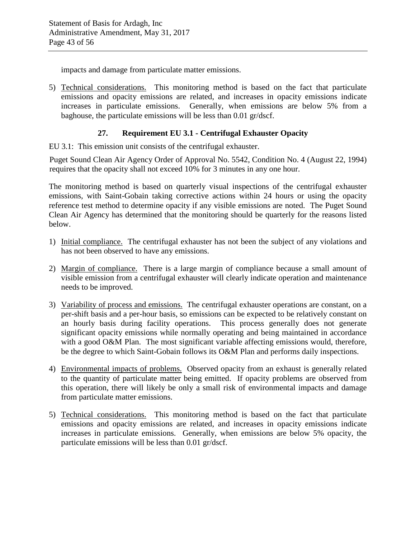impacts and damage from particulate matter emissions.

5) Technical considerations. This monitoring method is based on the fact that particulate emissions and opacity emissions are related, and increases in opacity emissions indicate increases in particulate emissions. Generally, when emissions are below 5% from a baghouse, the particulate emissions will be less than 0.01 gr/dscf.

## **27. Requirement EU 3.1 - Centrifugal Exhauster Opacity**

EU 3.1: This emission unit consists of the centrifugal exhauster.

Puget Sound Clean Air Agency Order of Approval No. 5542, Condition No. 4 (August 22, 1994) requires that the opacity shall not exceed 10% for 3 minutes in any one hour.

The monitoring method is based on quarterly visual inspections of the centrifugal exhauster emissions, with Saint-Gobain taking corrective actions within 24 hours or using the opacity reference test method to determine opacity if any visible emissions are noted. The Puget Sound Clean Air Agency has determined that the monitoring should be quarterly for the reasons listed below.

- 1) Initial compliance. The centrifugal exhauster has not been the subject of any violations and has not been observed to have any emissions.
- 2) Margin of compliance. There is a large margin of compliance because a small amount of visible emission from a centrifugal exhauster will clearly indicate operation and maintenance needs to be improved.
- 3) Variability of process and emissions. The centrifugal exhauster operations are constant, on a per-shift basis and a per-hour basis, so emissions can be expected to be relatively constant on an hourly basis during facility operations. This process generally does not generate significant opacity emissions while normally operating and being maintained in accordance with a good O&M Plan. The most significant variable affecting emissions would, therefore, be the degree to which Saint-Gobain follows its O&M Plan and performs daily inspections.
- 4) Environmental impacts of problems. Observed opacity from an exhaust is generally related to the quantity of particulate matter being emitted. If opacity problems are observed from this operation, there will likely be only a small risk of environmental impacts and damage from particulate matter emissions.
- 5) Technical considerations. This monitoring method is based on the fact that particulate emissions and opacity emissions are related, and increases in opacity emissions indicate increases in particulate emissions. Generally, when emissions are below 5% opacity, the particulate emissions will be less than 0.01 gr/dscf.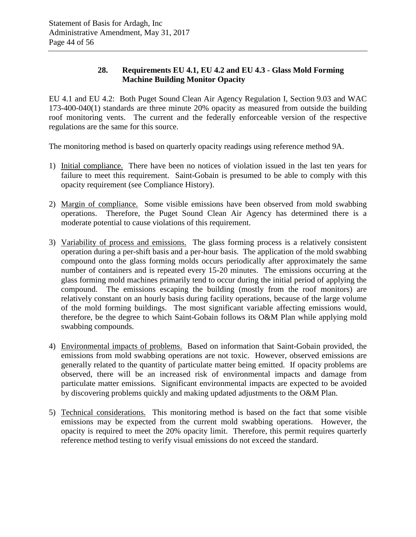## **28. Requirements EU 4.1, EU 4.2 and EU 4.3 - Glass Mold Forming Machine Building Monitor Opacity**

EU 4.1 and EU 4.2: Both Puget Sound Clean Air Agency Regulation I, Section 9.03 and WAC 173-400-040(1) standards are three minute 20% opacity as measured from outside the building roof monitoring vents. The current and the federally enforceable version of the respective regulations are the same for this source.

The monitoring method is based on quarterly opacity readings using reference method 9A.

- 1) Initial compliance. There have been no notices of violation issued in the last ten years for failure to meet this requirement. Saint-Gobain is presumed to be able to comply with this opacity requirement (see [Compliance History\)](#page-6-0).
- 2) Margin of compliance. Some visible emissions have been observed from mold swabbing operations. Therefore, the Puget Sound Clean Air Agency has determined there is a moderate potential to cause violations of this requirement.
- 3) Variability of process and emissions. The glass forming process is a relatively consistent operation during a per-shift basis and a per-hour basis. The application of the mold swabbing compound onto the glass forming molds occurs periodically after approximately the same number of containers and is repeated every 15-20 minutes. The emissions occurring at the glass forming mold machines primarily tend to occur during the initial period of applying the compound. The emissions escaping the building (mostly from the roof monitors) are relatively constant on an hourly basis during facility operations, because of the large volume of the mold forming buildings. The most significant variable affecting emissions would, therefore, be the degree to which Saint-Gobain follows its O&M Plan while applying mold swabbing compounds.
- 4) Environmental impacts of problems. Based on information that Saint-Gobain provided, the emissions from mold swabbing operations are not toxic. However, observed emissions are generally related to the quantity of particulate matter being emitted. If opacity problems are observed, there will be an increased risk of environmental impacts and damage from particulate matter emissions. Significant environmental impacts are expected to be avoided by discovering problems quickly and making updated adjustments to the O&M Plan.
- 5) Technical considerations. This monitoring method is based on the fact that some visible emissions may be expected from the current mold swabbing operations. However, the opacity is required to meet the 20% opacity limit. Therefore, this permit requires quarterly reference method testing to verify visual emissions do not exceed the standard.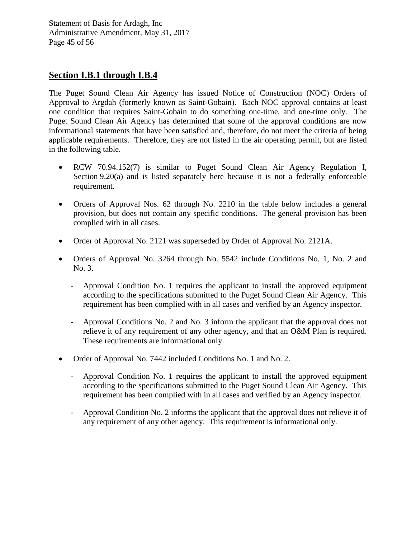## **Section I.B.1 through I.B.4**

The Puget Sound Clean Air Agency has issued Notice of Construction (NOC) Orders of Approval to Argdah (formerly known as Saint-Gobain). Each NOC approval contains at least one condition that requires Saint-Gobain to do something one-time, and one-time only. The Puget Sound Clean Air Agency has determined that some of the approval conditions are now informational statements that have been satisfied and, therefore, do not meet the criteria of being applicable requirements. Therefore, they are not listed in the air operating permit, but are listed in the following table.

- RCW 70.94.152(7) is similar to Puget Sound Clean Air Agency Regulation I, Section 9.20(a) and is listed separately here because it is not a federally enforceable requirement.
- Orders of Approval Nos. 62 through No. 2210 in the table below includes a general provision, but does not contain any specific conditions. The general provision has been complied with in all cases.
- Order of Approval No. 2121 was superseded by Order of Approval No. 2121A.
- Orders of Approval No. 3264 through No. 5542 include Conditions No. 1, No. 2 and No. 3.
	- Approval Condition No. 1 requires the applicant to install the approved equipment according to the specifications submitted to the Puget Sound Clean Air Agency. This requirement has been complied with in all cases and verified by an Agency inspector.
	- Approval Conditions No. 2 and No. 3 inform the applicant that the approval does not relieve it of any requirement of any other agency, and that an O&M Plan is required. These requirements are informational only.
- Order of Approval No. 7442 included Conditions No. 1 and No. 2.
	- Approval Condition No. 1 requires the applicant to install the approved equipment according to the specifications submitted to the Puget Sound Clean Air Agency. This requirement has been complied with in all cases and verified by an Agency inspector.
	- Approval Condition No. 2 informs the applicant that the approval does not relieve it of any requirement of any other agency. This requirement is informational only.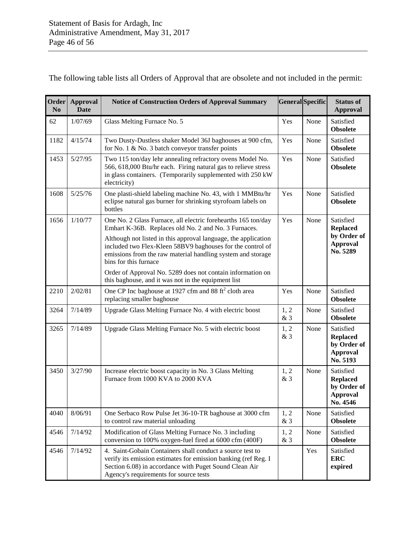The following table lists all Orders of Approval that are obsolete and not included in the permit:

| Order<br>N <sub>0</sub> | Approval<br><b>Date</b> | <b>Notice of Construction Orders of Approval Summary</b>                                                                                                                                                                        |             | <b>General</b> Specific | <b>Status of</b><br><b>Approval</b>                                        |
|-------------------------|-------------------------|---------------------------------------------------------------------------------------------------------------------------------------------------------------------------------------------------------------------------------|-------------|-------------------------|----------------------------------------------------------------------------|
| 62                      | 1/07/69                 | Glass Melting Furnace No. 5                                                                                                                                                                                                     | Yes         | None                    | Satisfied<br><b>Obsolete</b>                                               |
| 1182                    | 4/15/74                 | Two Dusty-Dustless shaker Model 36J baghouses at 900 cfm,<br>for No. 1 & No. 3 batch conveyor transfer points                                                                                                                   | Yes         | None                    | Satisfied<br><b>Obsolete</b>                                               |
| 1453                    | 5/27/95                 | Two 115 ton/day lehr annealing refractory ovens Model No.<br>566, 618,000 Btu/hr each. Firing natural gas to relieve stress<br>in glass containers. (Temporarily supplemented with 250 kW<br>electricity)                       | Yes         | None                    | Satisfied<br><b>Obsolete</b>                                               |
| 1608                    | 5/25/76                 | One plasti-shield labeling machine No. 43, with 1 MMBtu/hr<br>eclipse natural gas burner for shrinking styrofoam labels on<br>bottles                                                                                           | Yes         | None                    | Satisfied<br><b>Obsolete</b>                                               |
| 1656                    | 1/10/77                 | One No. 2 Glass Furnace, all electric forehearths 165 ton/day<br>Emhart K-36B. Replaces old No. 2 and No. 3 Furnaces.                                                                                                           | Yes         | None                    | Satisfied<br><b>Replaced</b>                                               |
|                         |                         | Although not listed in this approval language, the application<br>included two Flex-Kleen 58BV9 baghouses for the control of<br>emissions from the raw material handling system and storage<br>bins for this furnace            |             |                         | by Order of<br>Approval<br>No. 5289                                        |
|                         |                         | Order of Approval No. 5289 does not contain information on<br>this baghouse, and it was not in the equipment list                                                                                                               |             |                         |                                                                            |
| 2210                    | 2/02/81                 | One CP Inc baghouse at 1927 cfm and 88 ft <sup>2</sup> cloth area<br>replacing smaller baghouse                                                                                                                                 | Yes         | None                    | Satisfied<br><b>Obsolete</b>                                               |
| 3264                    | 7/14/89                 | Upgrade Glass Melting Furnace No. 4 with electric boost                                                                                                                                                                         | 1, 2<br>& 3 | None                    | Satisfied<br><b>Obsolete</b>                                               |
| 3265                    | 7/14/89                 | Upgrade Glass Melting Furnace No. 5 with electric boost                                                                                                                                                                         | 1, 2<br>& 3 | None                    | Satisfied<br><b>Replaced</b><br>by Order of<br>Approval<br>No. 5193        |
| 3450                    | 3/27/90                 | Increase electric boost capacity in No. 3 Glass Melting<br>Furnace from 1000 KVA to 2000 KVA                                                                                                                                    | 1, 2<br>&3  | None                    | Satisfied<br><b>Replaced</b><br>by Order of<br><b>Approval</b><br>No. 4546 |
| 4040                    | 8/06/91                 | One Serbaco Row Pulse Jet 36-10-TR baghouse at 3000 cfm<br>to control raw material unloading                                                                                                                                    | 1, 2<br>& 3 | None                    | Satisfied<br><b>Obsolete</b>                                               |
| 4546                    | 7/14/92                 | Modification of Glass Melting Furnace No. 3 including<br>conversion to 100% oxygen-fuel fired at 6000 cfm (400F)                                                                                                                | 1, 2<br>&3  | None                    | Satisfied<br><b>Obsolete</b>                                               |
| 4546                    | 7/14/92                 | 4. Saint-Gobain Containers shall conduct a source test to<br>verify its emission estimates for emission banking (ref Reg. I<br>Section 6.08) in accordance with Puget Sound Clean Air<br>Agency's requirements for source tests |             | Yes                     | Satisfied<br><b>ERC</b><br>expired                                         |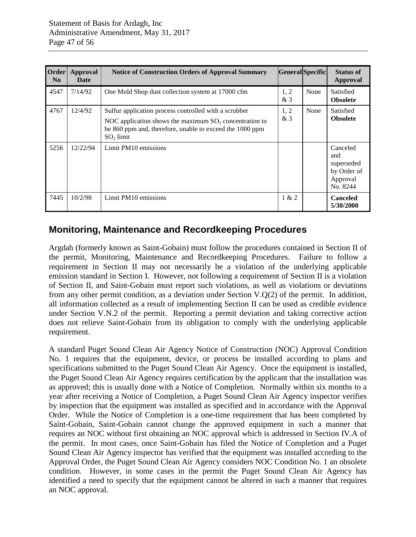| Order<br>N <sub>0</sub> | Approval<br><b>Date</b> | <b>Notice of Construction Orders of Approval Summary</b>                                                                                                                                      | General Specific |      | <b>Status of</b><br><b>Approval</b>                                  |
|-------------------------|-------------------------|-----------------------------------------------------------------------------------------------------------------------------------------------------------------------------------------------|------------------|------|----------------------------------------------------------------------|
| 4547                    | 7/14/92                 | One Mold Shop dust collection system at 17000 cfm                                                                                                                                             | 1, 2<br>&3       | None | Satisfied<br><b>Obsolete</b>                                         |
| 4767                    | 12/4/92                 | Sulfur application process controlled with a scrubber<br>NOC application shows the maximum $SO_2$ concentration to<br>be 860 ppm and, therefore, unable to exceed the 1000 ppm<br>$SO2$ limit | 1, 2<br>&3       | None | Satisfied<br><b>Obsolete</b>                                         |
| 5256                    | 12/22/94                | Limit PM10 emissions                                                                                                                                                                          |                  |      | Canceled<br>and<br>superseded<br>by Order of<br>Approval<br>No. 8244 |
| 7445                    | 10/2/98                 | Limit PM10 emissions                                                                                                                                                                          | 1 & 2            |      | <b>Canceled</b><br>5/30/2000                                         |

## **Monitoring, Maintenance and Recordkeeping Procedures**

Argdah (formerly known as Saint-Gobain) must follow the procedures contained in Section II of the permit, Monitoring, Maintenance and Recordkeeping Procedures. Failure to follow a requirement in Section II may not necessarily be a violation of the underlying applicable emission standard in Section I. However, not following a requirement of Section II is a violation of Section II, and Saint-Gobain must report such violations, as well as violations or deviations from any other permit condition, as a deviation under Section V.Q(2) of the permit. In addition, all information collected as a result of implementing Section II can be used as credible evidence under Section V.N.2 of the permit. Reporting a permit deviation and taking corrective action does not relieve Saint-Gobain from its obligation to comply with the underlying applicable requirement.

A standard Puget Sound Clean Air Agency Notice of Construction (NOC) Approval Condition No. 1 requires that the equipment, device, or process be installed according to plans and specifications submitted to the Puget Sound Clean Air Agency. Once the equipment is installed, the Puget Sound Clean Air Agency requires certification by the applicant that the installation was as approved; this is usually done with a Notice of Completion. Normally within six months to a year after receiving a Notice of Completion, a Puget Sound Clean Air Agency inspector verifies by inspection that the equipment was installed as specified and in accordance with the Approval Order. While the Notice of Completion is a one-time requirement that has been completed by Saint-Gobain, Saint-Gobain cannot change the approved equipment in such a manner that requires an NOC without first obtaining an NOC approval which is addressed in Section IV.A of the permit. In most cases, once Saint-Gobain has filed the Notice of Completion and a Puget Sound Clean Air Agency inspector has verified that the equipment was installed according to the Approval Order, the Puget Sound Clean Air Agency considers NOC Condition No. 1 an obsolete condition. However, in some cases in the permit the Puget Sound Clean Air Agency has identified a need to specify that the equipment cannot be altered in such a manner that requires an NOC approval.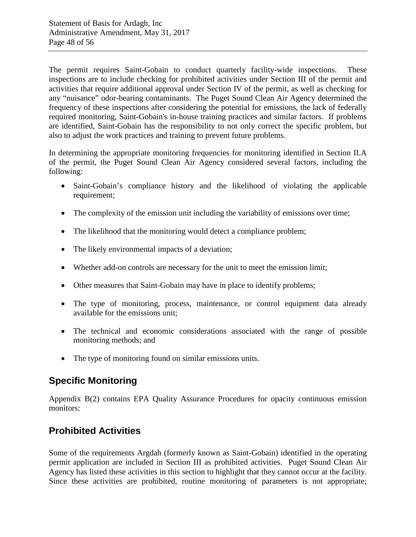The permit requires Saint-Gobain to conduct quarterly facility-wide inspections. These inspections are to include checking for prohibited activities under Section III of the permit and activities that require additional approval under Section IV of the permit, as well as checking for any "nuisance" odor-bearing contaminants. The Puget Sound Clean Air Agency determined the frequency of these inspections after considering the potential for emissions, the lack of federally required monitoring, Saint-Gobain's in-house training practices and similar factors. If problems are identified, Saint-Gobain has the responsibility to not only correct the specific problem, but also to adjust the work practices and training to prevent future problems.

In determining the appropriate monitoring frequencies for monitoring identified in Section II.A of the permit, the Puget Sound Clean Air Agency considered several factors, including the following:

- Saint-Gobain's compliance history and the likelihood of violating the applicable requirement:
- The complexity of the emission unit including the variability of emissions over time;
- The likelihood that the monitoring would detect a compliance problem;
- The likely environmental impacts of a deviation;
- Whether add-on controls are necessary for the unit to meet the emission limit;
- Other measures that Saint-Gobain may have in place to identify problems;
- The type of monitoring, process, maintenance, or control equipment data already available for the emissions unit;
- The technical and economic considerations associated with the range of possible monitoring methods; and
- The type of monitoring found on similar emissions units.

# **Specific Monitoring**

Appendix B(2) contains EPA Quality Assurance Procedures for opacity continuous emission monitors:

# **Prohibited Activities**

Some of the requirements Argdah (formerly known as Saint-Gobain) identified in the operating permit application are included in Section III as prohibited activities. Puget Sound Clean Air Agency has listed these activities in this section to highlight that they cannot occur at the facility. Since these activities are prohibited, routine monitoring of parameters is not appropriate;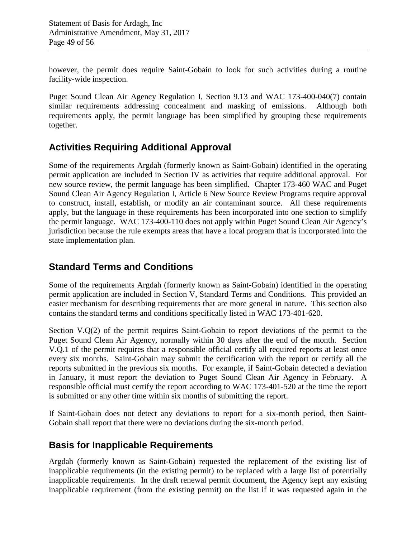however, the permit does require Saint-Gobain to look for such activities during a routine facility-wide inspection.

Puget Sound Clean Air Agency Regulation I, Section 9.13 and WAC 173-400-040(7) contain similar requirements addressing concealment and masking of emissions. Although both requirements apply, the permit language has been simplified by grouping these requirements together.

# **Activities Requiring Additional Approval**

Some of the requirements Argdah (formerly known as Saint-Gobain) identified in the operating permit application are included in Section IV as activities that require additional approval. For new source review, the permit language has been simplified. Chapter 173-460 WAC and Puget Sound Clean Air Agency Regulation I, Article 6 New Source Review Programs require approval to construct, install, establish, or modify an air contaminant source. All these requirements apply, but the language in these requirements has been incorporated into one section to simplify the permit language. WAC 173-400-110 does not apply within Puget Sound Clean Air Agency's jurisdiction because the rule exempts areas that have a local program that is incorporated into the state implementation plan.

## **Standard Terms and Conditions**

Some of the requirements Argdah (formerly known as Saint-Gobain) identified in the operating permit application are included in Section V, Standard Terms and Conditions. This provided an easier mechanism for describing requirements that are more general in nature. This section also contains the standard terms and conditions specifically listed in WAC 173-401-620.

Section V.Q(2) of the permit requires Saint-Gobain to report deviations of the permit to the Puget Sound Clean Air Agency, normally within 30 days after the end of the month. Section V.Q.1 of the permit requires that a responsible official certify all required reports at least once every six months. Saint-Gobain may submit the certification with the report or certify all the reports submitted in the previous six months. For example, if Saint-Gobain detected a deviation in January, it must report the deviation to Puget Sound Clean Air Agency in February. A responsible official must certify the report according to WAC 173-401-520 at the time the report is submitted or any other time within six months of submitting the report.

If Saint-Gobain does not detect any deviations to report for a six-month period, then Saint-Gobain shall report that there were no deviations during the six-month period.

# **Basis for Inapplicable Requirements**

Argdah (formerly known as Saint-Gobain) requested the replacement of the existing list of inapplicable requirements (in the existing permit) to be replaced with a large list of potentially inapplicable requirements. In the draft renewal permit document, the Agency kept any existing inapplicable requirement (from the existing permit) on the list if it was requested again in the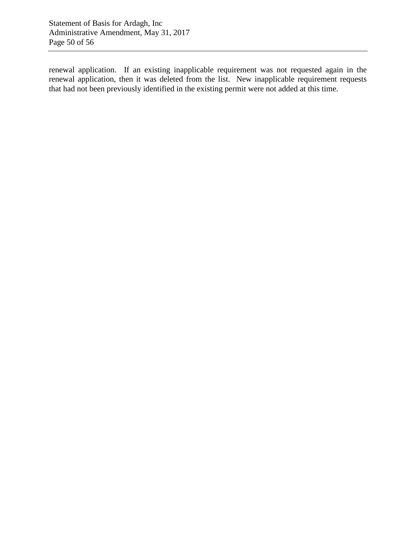renewal application. If an existing inapplicable requirement was not requested again in the renewal application, then it was deleted from the list. New inapplicable requirement requests that had not been previously identified in the existing permit were not added at this time.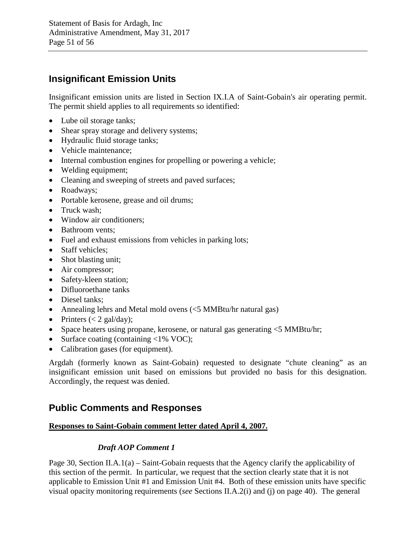# **Insignificant Emission Units**

Insignificant emission units are listed in Section IX.I.A of Saint-Gobain's air operating permit. The permit shield applies to all requirements so identified:

- Lube oil storage tanks;
- Shear spray storage and delivery systems;
- Hydraulic fluid storage tanks;
- Vehicle maintenance:
- Internal combustion engines for propelling or powering a vehicle;
- Welding equipment;
- Cleaning and sweeping of streets and paved surfaces;
- Roadways;
- Portable kerosene, grease and oil drums;
- Truck wash:
- Window air conditioners;
- Bathroom vents;
- Fuel and exhaust emissions from vehicles in parking lots;
- Staff vehicles;
- Shot blasting unit;
- Air compressor;
- Safety-kleen station:
- Difluoroethane tanks
- Diesel tanks:
- Annealing lehrs and Metal mold ovens (<5 MMBtu/hr natural gas)
- Printers  $(< 2$  gal/day);
- Space heaters using propane, kerosene, or natural gas generating  $\leq$  5 MMBtu/hr;
- Surface coating (containing <1% VOC);
- Calibration gases (for equipment).

Argdah (formerly known as Saint-Gobain) requested to designate "chute cleaning" as an insignificant emission unit based on emissions but provided no basis for this designation. Accordingly, the request was denied.

# **Public Comments and Responses**

## **Responses to Saint-Gobain comment letter dated April 4, 2007.**

## *Draft AOP Comment 1*

Page 30, Section II.A.1(a) – Saint-Gobain requests that the Agency clarify the applicability of this section of the permit. In particular, we request that the section clearly state that it is not applicable to Emission Unit #1 and Emission Unit #4. Both of these emission units have specific visual opacity monitoring requirements (*see* Sections II.A.2(i) and (j) on page 40). The general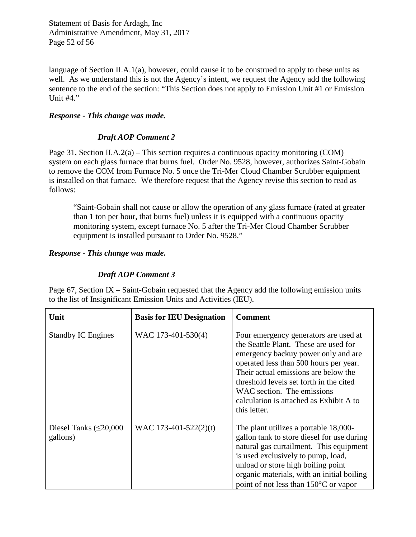language of Section II.A.1(a), however, could cause it to be construed to apply to these units as well. As we understand this is not the Agency's intent, we request the Agency add the following sentence to the end of the section: "This Section does not apply to Emission Unit #1 or Emission Unit #4."

#### *Response - This change was made.*

#### *Draft AOP Comment 2*

Page 31, Section II.A.2(a) – This section requires a continuous opacity monitoring (COM) system on each glass furnace that burns fuel. Order No. 9528, however, authorizes Saint-Gobain to remove the COM from Furnace No. 5 once the Tri-Mer Cloud Chamber Scrubber equipment is installed on that furnace. We therefore request that the Agency revise this section to read as follows:

"Saint-Gobain shall not cause or allow the operation of any glass furnace (rated at greater than 1 ton per hour, that burns fuel) unless it is equipped with a continuous opacity monitoring system, except furnace No. 5 after the Tri-Mer Cloud Chamber Scrubber equipment is installed pursuant to Order No. 9528."

#### *Response - This change was made.*

## *Draft AOP Comment 3*

Page 67, Section IX – Saint-Gobain requested that the Agency add the following emission units to the list of Insignificant Emission Units and Activities (IEU).

| Unit                                    | <b>Basis for IEU Designation</b> | <b>Comment</b>                                                                                                                                                                                                                                                                                                                              |
|-----------------------------------------|----------------------------------|---------------------------------------------------------------------------------------------------------------------------------------------------------------------------------------------------------------------------------------------------------------------------------------------------------------------------------------------|
| <b>Standby IC Engines</b>               | WAC 173-401-530(4)               | Four emergency generators are used at<br>the Seattle Plant. These are used for<br>emergency backuy power only and are<br>operated less than 500 hours per year.<br>Their actual emissions are below the<br>threshold levels set forth in the cited<br>WAC section. The emissions<br>calculation is attached as Exhibit A to<br>this letter. |
| Diesel Tanks $(\leq 20,000$<br>gallons) | WAC 173-401-522 $(2)(t)$         | The plant utilizes a portable 18,000-<br>gallon tank to store diesel for use during<br>natural gas curtailment. This equipment<br>is used exclusively to pump, load,<br>unload or store high boiling point<br>organic materials, with an initial boiling<br>point of not less than 150°C or vapor                                           |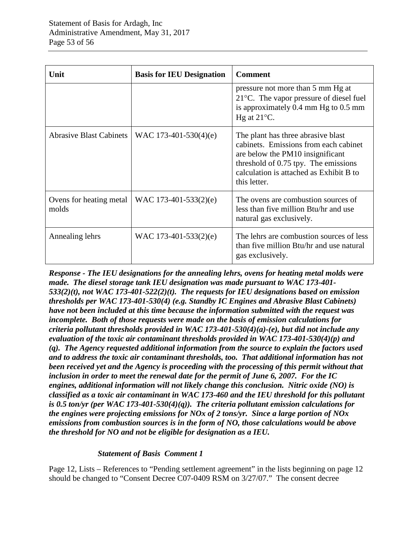| Unit                             | <b>Basis for IEU Designation</b> | <b>Comment</b>                                                                                                                                                                                                     |
|----------------------------------|----------------------------------|--------------------------------------------------------------------------------------------------------------------------------------------------------------------------------------------------------------------|
|                                  |                                  | pressure not more than 5 mm Hg at<br>$21^{\circ}$ C. The vapor pressure of diesel fuel<br>is approximately 0.4 mm Hg to 0.5 mm<br>Hg at $21^{\circ}$ C.                                                            |
| <b>Abrasive Blast Cabinets</b>   | WAC 173-401-530(4)(e)            | The plant has three abrasive blast<br>cabinets. Emissions from each cabinet<br>are below the PM10 insignificant<br>threshold of 0.75 tpy. The emissions<br>calculation is attached as Exhibit B to<br>this letter. |
| Ovens for heating metal<br>molds | WAC 173-401-533 $(2)(e)$         | The ovens are combustion sources of<br>less than five million Btu/hr and use<br>natural gas exclusively.                                                                                                           |
| Annealing lehrs                  | WAC 173-401-533(2)(e)            | The lehrs are combustion sources of less<br>than five million Btu/hr and use natural<br>gas exclusively.                                                                                                           |

*Response - The IEU designations for the annealing lehrs, ovens for heating metal molds were made. The diesel storage tank IEU designation was made pursuant to WAC 173-401- 533(2)(t), not WAC 173-401-522(2)(t). The requests for IEU designations based on emission thresholds per WAC 173-401-530(4) (e.g. Standby IC Engines and Abrasive Blast Cabinets) have not been included at this time because the information submitted with the request was incomplete. Both of those requests were made on the basis of emission calculations for criteria pollutant thresholds provided in WAC 173-401-530(4)(a)-(e), but did not include any evaluation of the toxic air contaminant thresholds provided in WAC 173-401-530(4)(p) and (q). The Agency requested additional information from the source to explain the factors used and to address the toxic air contaminant thresholds, too. That additional information has not been received yet and the Agency is proceeding with the processing of this permit without that inclusion in order to meet the renewal date for the permit of June 6, 2007. For the IC engines, additional information will not likely change this conclusion. Nitric oxide (NO) is classified as a toxic air contaminant in WAC 173-460 and the IEU threshold for this pollutant is 0.5 ton/yr (per WAC 173-401-530(4)(q)). The criteria pollutant emission calculations for the engines were projecting emissions for NOx of 2 tons/yr. Since a large portion of NOx emissions from combustion sources is in the form of NO, those calculations would be above the threshold for NO and not be eligible for designation as a IEU.*

## *Statement of Basis Comment 1*

Page 12, Lists – References to "Pending settlement agreement" in the lists beginning on page 12 should be changed to "Consent Decree C07-0409 RSM on 3/27/07." The consent decree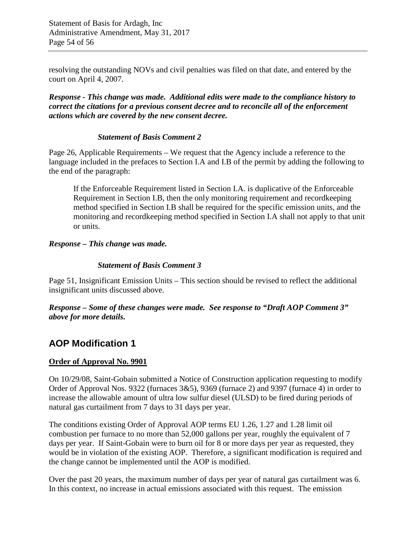resolving the outstanding NOVs and civil penalties was filed on that date, and entered by the court on April 4, 2007.

*Response - This change was made. Additional edits were made to the compliance history to correct the citations for a previous consent decree and to reconcile all of the enforcement actions which are covered by the new consent decree.*

#### *Statement of Basis Comment 2*

Page 26, Applicable Requirements – We request that the Agency include a reference to the language included in the prefaces to Section I.A and I.B of the permit by adding the following to the end of the paragraph:

If the Enforceable Requirement listed in Section I.A. is duplicative of the Enforceable Requirement in Section I.B, then the only monitoring requirement and recordkeeping method specified in Section I.B shall be required for the specific emission units, and the monitoring and recordkeeping method specified in Section I.A shall not apply to that unit or units.

## *Response – This change was made.*

#### *Statement of Basis Comment 3*

Page 51, Insignificant Emission Units – This section should be revised to reflect the additional insignificant units discussed above.

*Response – Some of these changes were made. See response to "Draft AOP Comment 3" above for more details.*

## **AOP Modification 1**

## **Order of Approval No. 9901**

On 10/29/08, Saint-Gobain submitted a Notice of Construction application requesting to modify Order of Approval Nos. 9322 (furnaces 3&5), 9369 (furnace 2) and 9397 (furnace 4) in order to increase the allowable amount of ultra low sulfur diesel (ULSD) to be fired during periods of natural gas curtailment from 7 days to 31 days per year.

The conditions existing Order of Approval AOP terms EU 1.26, 1.27 and 1.28 limit oil combustion per furnace to no more than 52,000 gallons per year, roughly the equivalent of 7 days per year. If Saint-Gobain were to burn oil for 8 or more days per year as requested, they would be in violation of the existing AOP. Therefore, a significant modification is required and the change cannot be implemented until the AOP is modified.

Over the past 20 years, the maximum number of days per year of natural gas curtailment was 6. In this context, no increase in actual emissions associated with this request. The emission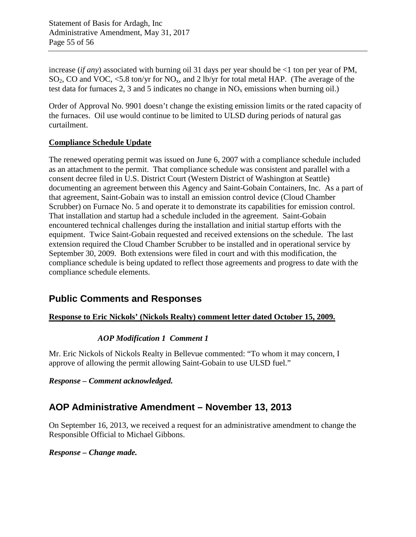Statement of Basis for Ardagh, Inc Administrative Amendment, May 31, 2017 Page 55 of 56

increase (*if any*) associated with burning oil 31 days per year should be <1 ton per year of PM,  $SO_2$ , CO and VOC, <5.8 ton/yr for NO<sub>x</sub>, and 2 lb/yr for total metal HAP. (The average of the test data for furnaces 2, 3 and 5 indicates no change in  $NO<sub>x</sub>$  emissions when burning oil.)

Order of Approval No. 9901 doesn't change the existing emission limits or the rated capacity of the furnaces. Oil use would continue to be limited to ULSD during periods of natural gas curtailment.

## **Compliance Schedule Update**

The renewed operating permit was issued on June 6, 2007 with a compliance schedule included as an attachment to the permit. That compliance schedule was consistent and parallel with a consent decree filed in U.S. District Court (Western District of Washington at Seattle) documenting an agreement between this Agency and Saint-Gobain Containers, Inc. As a part of that agreement, Saint-Gobain was to install an emission control device (Cloud Chamber Scrubber) on Furnace No. 5 and operate it to demonstrate its capabilities for emission control. That installation and startup had a schedule included in the agreement. Saint-Gobain encountered technical challenges during the installation and initial startup efforts with the equipment. Twice Saint-Gobain requested and received extensions on the schedule. The last extension required the Cloud Chamber Scrubber to be installed and in operational service by September 30, 2009. Both extensions were filed in court and with this modification, the compliance schedule is being updated to reflect those agreements and progress to date with the compliance schedule elements.

# **Public Comments and Responses**

## **Response to Eric Nickols' (Nickols Realty) comment letter dated October 15, 2009.**

## *AOP Modification 1 Comment 1*

Mr. Eric Nickols of Nickols Realty in Bellevue commented: "To whom it may concern, I approve of allowing the permit allowing Saint-Gobain to use ULSD fuel."

*Response – Comment acknowledged.*

# **AOP Administrative Amendment – November 13, 2013**

On September 16, 2013, we received a request for an administrative amendment to change the Responsible Official to Michael Gibbons.

*Response – Change made.*